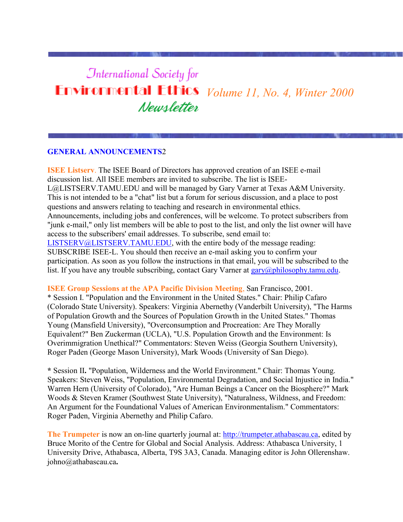# **International Society for Environmental Ethics** *Volume 11, No. 4, Winter 2000* Newsletter

#### **GENERAL ANNOUNCEMENTS**2

**ISEE Listserv**. The ISEE Board of Directors has approved creation of an ISEE e-mail discussion list. All ISEE members are invited to subscribe. The list is ISEE-L@LISTSERV.TAMU.EDU and will be managed by Gary Varner at Texas A&M University. This is not intended to be a "chat" list but a forum for serious discussion, and a place to post questions and answers relating to teaching and research in environmental ethics. Announcements, including jobs and conferences, will be welcome. To protect subscribers from "junk e-mail," only list members will be able to post to the list, and only the list owner will have access to the subscribers' email addresses. To subscribe, send email to: [LISTSERV@LISTSERV.TAMU.EDU,](mailto:LISTSERV@LISTSERV.TAMU.EDU) with the entire body of the message reading: SUBSCRIBE ISEE-L. You should then receive an e-mail asking you to confirm your participation. As soon as you follow the instructions in that email, you will be subscribed to the list. If you have any trouble subscribing, contact Gary Varner at  $\frac{gary(2)phi$  losophy.tamu.edu.

**ISEE Group Sessions at the APA Pacific Division Meeting**, San Francisco, 2001.

\* Session I. "Population and the Environment in the United States." Chair: Philip Cafaro (Colorado State University). Speakers: Virginia Abernethy (Vanderbilt University), "The Harms of Population Growth and the Sources of Population Growth in the United States." Thomas Young (Mansfield University), "Overconsumption and Procreation: Are They Morally Equivalent?" Ben Zuckerman (UCLA), "U.S. Population Growth and the Environment: Is Overimmigration Unethical?" Commentators: Steven Weiss (Georgia Southern University), Roger Paden (George Mason University), Mark Woods (University of San Diego).

**\*** Session II**.** "Population, Wilderness and the World Environment." Chair: Thomas Young. Speakers: Steven Weiss, "Population, Environmental Degradation, and Social Injustice in India." Warren Hern (University of Colorado), "Are Human Beings a Cancer on the Biosphere?" Mark Woods & Steven Kramer (Southwest State University), "Naturalness, Wildness, and Freedom: An Argument for the Foundational Values of American Environmentalism." Commentators: Roger Paden, Virginia Abernethy and Philip Cafaro.

**The Trumpeter** is now an on-line quarterly journal at: [http://trumpeter.athabascau.ca,](http://trumpeter.athabascau.ca/) edited by Bruce Morito of the Centre for Global and Social Analysis. Address: Athabasca University, 1 University Drive, Athabasca, Alberta, T9S 3A3, Canada. Managing editor is John Ollerenshaw. johno@athabascau.ca**.**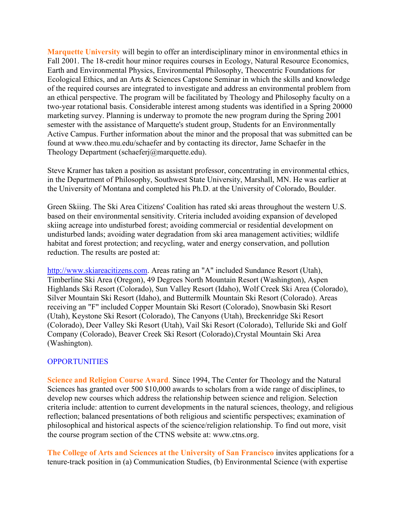**Marquette University** will begin to offer an interdisciplinary minor in environmental ethics in Fall 2001. The 18-credit hour minor requires courses in Ecology, Natural Resource Economics, Earth and Environmental Physics, Environmental Philosophy, Theocentric Foundations for Ecological Ethics, and an Arts & Sciences Capstone Seminar in which the skills and knowledge of the required courses are integrated to investigate and address an environmental problem from an ethical perspective. The program will be facilitated by Theology and Philosophy faculty on a two-year rotational basis. Considerable interest among students was identified in a Spring 20000 marketing survey. Planning is underway to promote the new program during the Spring 2001 semester with the assistance of Marquette's student group, Students for an Environmentally Active Campus. Further information about the minor and the proposal that was submitted can be found at www.theo.mu.edu/schaefer and by contacting its director, Jame Schaefer in the Theology Department (schaeferj@marquette.edu).

Steve Kramer has taken a position as assistant professor, concentrating in environmental ethics, in the Department of Philosophy, Southwest State University, Marshall, MN. He was earlier at the University of Montana and completed his Ph.D. at the University of Colorado, Boulder.

Green Skiing. The Ski Area Citizens' Coalition has rated ski areas throughout the western U.S. based on their environmental sensitivity. Criteria included avoiding expansion of developed skiing acreage into undisturbed forest; avoiding commercial or residential development on undisturbed lands; avoiding water degradation from ski area management activities; wildlife habitat and forest protection; and recycling, water and energy conservation, and pollution reduction. The results are posted at:

[http://www.skiareacitizens.com.](http://www.skiareacitizens.com/) Areas rating an "A" included Sundance Resort (Utah), Timberline Ski Area (Oregon), 49 Degrees North Mountain Resort (Washington), Aspen Highlands Ski Resort (Colorado), Sun Valley Resort (Idaho), Wolf Creek Ski Area (Colorado), Silver Mountain Ski Resort (Idaho), and Buttermilk Mountain Ski Resort (Colorado). Areas receiving an "F" included Copper Mountain Ski Resort (Colorado), Snowbasin Ski Resort (Utah), Keystone Ski Resort (Colorado), The Canyons (Utah), Breckenridge Ski Resort (Colorado), Deer Valley Ski Resort (Utah), Vail Ski Resort (Colorado), Telluride Ski and Golf Company (Colorado), Beaver Creek Ski Resort (Colorado),Crystal Mountain Ski Area (Washington).

#### **OPPORTUNITIES**

**Science and Religion Course Award**. Since 1994, The Center for Theology and the Natural Sciences has granted over 500 \$10,000 awards to scholars from a wide range of disciplines, to develop new courses which address the relationship between science and religion. Selection criteria include: attention to current developments in the natural sciences, theology, and religious reflection; balanced presentations of both religious and scientific perspectives; examination of philosophical and historical aspects of the science/religion relationship. To find out more, visit the course program section of the CTNS website at: www.ctns.org.

**The College of Arts and Sciences at the University of San Francisco** invites applications for a tenure-track position in (a) Communication Studies, (b) Environmental Science (with expertise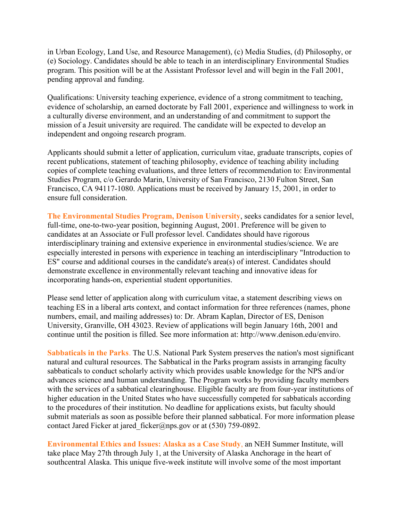in Urban Ecology, Land Use, and Resource Management), (c) Media Studies, (d) Philosophy, or (e) Sociology. Candidates should be able to teach in an interdisciplinary Environmental Studies program. This position will be at the Assistant Professor level and will begin in the Fall 2001, pending approval and funding.

Qualifications: University teaching experience, evidence of a strong commitment to teaching, evidence of scholarship, an earned doctorate by Fall 2001, experience and willingness to work in a culturally diverse environment, and an understanding of and commitment to support the mission of a Jesuit university are required. The candidate will be expected to develop an independent and ongoing research program.

Applicants should submit a letter of application, curriculum vitae, graduate transcripts, copies of recent publications, statement of teaching philosophy, evidence of teaching ability including copies of complete teaching evaluations, and three letters of recommendation to: Environmental Studies Program, c/o Gerardo Marin, University of San Francisco, 2130 Fulton Street, San Francisco, CA 94117-1080. Applications must be received by January 15, 2001, in order to ensure full consideration.

**The Environmental Studies Program, Denison University**, seeks candidates for a senior level, full-time, one-to-two-year position, beginning August, 2001. Preference will be given to candidates at an Associate or Full professor level. Candidates should have rigorous interdisciplinary training and extensive experience in environmental studies/science. We are especially interested in persons with experience in teaching an interdisciplinary "Introduction to ES" course and additional courses in the candidate's area(s) of interest. Candidates should demonstrate excellence in environmentally relevant teaching and innovative ideas for incorporating hands-on, experiential student opportunities.

Please send letter of application along with curriculum vitae, a statement describing views on teaching ES in a liberal arts context, and contact information for three references (names, phone numbers, email, and mailing addresses) to: Dr. Abram Kaplan, Director of ES, Denison University, Granville, OH 43023. Review of applications will begin January 16th, 2001 and continue until the position is filled. See more information at: http://www.denison.edu/enviro.

**Sabbaticals in the Parks**. The U.S. National Park System preserves the nation's most significant natural and cultural resources. The Sabbatical in the Parks program assists in arranging faculty sabbaticals to conduct scholarly activity which provides usable knowledge for the NPS and/or advances science and human understanding. The Program works by providing faculty members with the services of a sabbatical clearinghouse. Eligible faculty are from four-year institutions of higher education in the United States who have successfully competed for sabbaticals according to the procedures of their institution. No deadline for applications exists, but faculty should submit materials as soon as possible before their planned sabbatical. For more information please contact Jared Ficker at jared ficker@nps.gov or at (530) 759-0892.

**Environmental Ethics and Issues: Alaska as a Case Study**, an NEH Summer Institute, will take place May 27th through July 1, at the University of Alaska Anchorage in the heart of southcentral Alaska. This unique five-week institute will involve some of the most important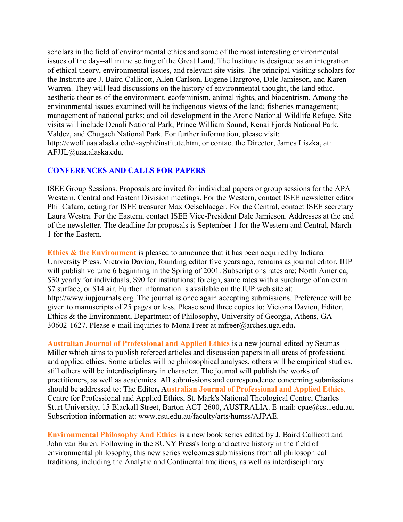scholars in the field of environmental ethics and some of the most interesting environmental issues of the day--all in the setting of the Great Land. The Institute is designed as an integration of ethical theory, environmental issues, and relevant site visits. The principal visiting scholars for the Institute are J. Baird Callicott, Allen Carlson, Eugene Hargrove, Dale Jamieson, and Karen Warren. They will lead discussions on the history of environmental thought, the land ethic, aesthetic theories of the environment, ecofeminism, animal rights, and biocentrism. Among the environmental issues examined will be indigenous views of the land; fisheries management; management of national parks; and oil development in the Arctic National Wildlife Refuge. Site visits will include Denali National Park, Prince William Sound, Kenai Fjords National Park, Valdez, and Chugach National Park. For further information, please visit: http://cwolf.uaa.alaska.edu/~ayphi/institute.htm, or contact the Director, James Liszka, at: AFJJL@uaa.alaska.edu.

## **CONFERENCES AND CALLS FOR PAPERS**

ISEE Group Sessions. Proposals are invited for individual papers or group sessions for the APA Western, Central and Eastern Division meetings. For the Western, contact ISEE newsletter editor Phil Cafaro, acting for ISEE treasurer Max Oelschlaeger. For the Central, contact ISEE secretary Laura Westra. For the Eastern, contact ISEE Vice-President Dale Jamieson. Addresses at the end of the newsletter. The deadline for proposals is September 1 for the Western and Central, March 1 for the Eastern.

**Ethics & the Environment** is pleased to announce that it has been acquired by Indiana University Press. Victoria Davion, founding editor five years ago, remains as journal editor. IUP will publish volume 6 beginning in the Spring of 2001. Subscriptions rates are: North America, \$30 yearly for individuals, \$90 for institutions; foreign, same rates with a surcharge of an extra \$7 surface, or \$14 air. Further information is available on the IUP web site at: http://www.iupjournals.org. The journal is once again accepting submissions. Preference will be given to manuscripts of 25 pages or less. Please send three copies to: Victoria Davion, Editor, Ethics & the Environment, Department of Philosophy, University of Georgia, Athens, GA 30602-1627. Please e-mail inquiries to Mona Freer at mfreer@arches.uga.edu**.**

**Australian Journal of Professional and Applied Ethics** is a new journal edited by Seumas Miller which aims to publish refereed articles and discussion papers in all areas of professional and applied ethics. Some articles will be philosophical analyses, others will be empirical studies, still others will be interdisciplinary in character. The journal will publish the works of practitioners, as well as academics. All submissions and correspondence concerning submissions should be addressed to: The Editor**, Australian Journal of Professional and Applied Ethics**, Centre for Professional and Applied Ethics, St. Mark's National Theological Centre, Charles Sturt University, 15 Blackall Street, Barton ACT 2600, AUSTRALIA. E-mail: cpae@csu.edu.au. Subscription information at: www.csu.edu.au/faculty/arts/humss/AJPAE.

**Environmental Philosophy And Ethics** is a new book series edited by J. Baird Callicott and John van Buren. Following in the SUNY Press's long and active history in the field of environmental philosophy, this new series welcomes submissions from all philosophical traditions, including the Analytic and Continental traditions, as well as interdisciplinary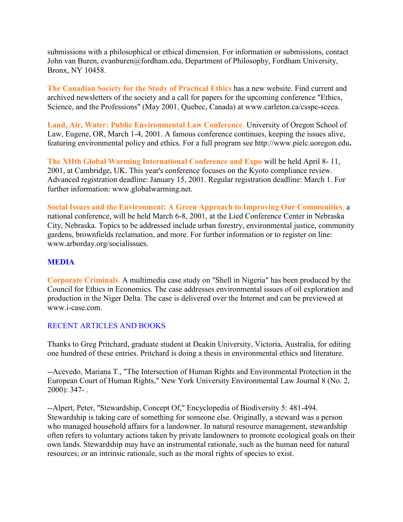submissions with a philosophical or ethical dimension. For information or submissions, contact John van Buren, evanburen@fordham.edu, Department of Philosophy, Fordham University, Bronx, NY 10458.

**The Canadian Society for the Study of Practical Ethics** has a new website. Find current and archived newsletters of the society and a call for papers for the upcoming conference "Ethics, Science, and the Professions" (May 2001, Quebec, Canada) at www.carleton.ca/csspe-sceea.

**Land, Air, Water: Public Environmental Law Conference**. University of Oregon School of Law, Eugene, OR, March 1-4, 2001. A famous conference continues, keeping the issues alive, featuring environmental policy and ethics. For a full program see http://www.pielc.uoregon.edu**.**

**The XIIth Global Warming International Conference and Expo** will be held April 8- 11, 2001, at Cambridge, UK. This year's conference focuses on the Kyoto compliance review. Advanced registration deadline: January 15, 2001. Regular registration deadline: March 1. For further information: www.globalwarming.net.

**Social Issues and the Environment: A Green Approach to Improving Our Communities**, a national conference, will be held March 6-8, 2001, at the Lied Conference Center in Nebraska City, Nebraska. Topics to be addressed include urban forestry, environmental justice, community gardens, brownfields reclamation, and more. For further information or to register on line: www.arborday.org/socialissues.

# **MEDIA**

**Corporate Criminals**. A multimedia case study on "Shell in Nigeria" has been produced by the Council for Ethics in Economics. The case addresses environmental issues of oil exploration and production in the Niger Delta. The case is delivered over the Internet and can be previewed at www.i-case.com.

#### RECENT ARTICLES AND BOOKS

Thanks to Greg Pritchard, graduate student at Deakin University, Victoria, Australia, for editing one hundred of these entries. Pritchard is doing a thesis in environmental ethics and literature.

--Acevedo, Mariana T., "The Intersection of Human Rights and Environmental Protection in the European Court of Human Rights," New York University Environmental Law Journal 8 (No. 2, 2000): 347- .

--Alpert, Peter, "Stewardship, Concept Of," Encyclopedia of Biodiversity 5: 481-494. Stewardship is taking care of something for someone else. Originally, a steward was a person who managed household affairs for a landowner. In natural resource management, stewardship often refers to voluntary actions taken by private landowners to promote ecological goals on their own lands. Stewardship may have an instrumental rationale, such as the human need for natural resources; or an intrinsic rationale, such as the moral rights of species to exist.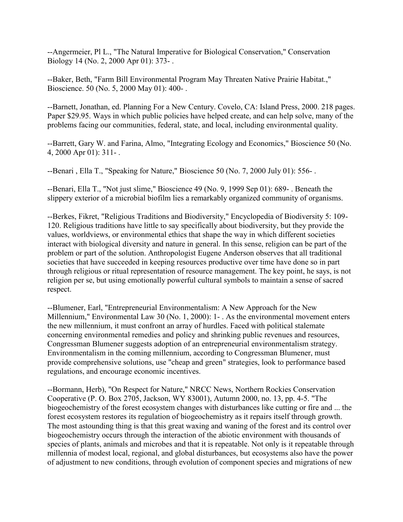--Angermeier, Pl L., "The Natural Imperative for Biological Conservation," Conservation Biology 14 (No. 2, 2000 Apr 01): 373- .

--Baker, Beth, "Farm Bill Environmental Program May Threaten Native Prairie Habitat.," Bioscience. 50 (No. 5, 2000 May 01): 400- .

--Barnett, Jonathan, ed. Planning For a New Century. Covelo, CA: Island Press, 2000. 218 pages. Paper \$29.95. Ways in which public policies have helped create, and can help solve, many of the problems facing our communities, federal, state, and local, including environmental quality.

--Barrett, Gary W. and Farina, Almo, "Integrating Ecology and Economics," Bioscience 50 (No. 4, 2000 Apr 01): 311- .

--Benari, Ella T., "Speaking for Nature," Bioscience 50 (No. 7, 2000 July 01): 556-.

--Benari, Ella T., "Not just slime," Bioscience 49 (No. 9, 1999 Sep 01): 689- . Beneath the slippery exterior of a microbial biofilm lies a remarkably organized community of organisms.

--Berkes, Fikret, "Religious Traditions and Biodiversity," Encyclopedia of Biodiversity 5: 109- 120. Religious traditions have little to say specifically about biodiversity, but they provide the values, worldviews, or environmental ethics that shape the way in which different societies interact with biological diversity and nature in general. In this sense, religion can be part of the problem or part of the solution. Anthropologist Eugene Anderson observes that all traditional societies that have succeeded in keeping resources productive over time have done so in part through religious or ritual representation of resource management. The key point, he says, is not religion per se, but using emotionally powerful cultural symbols to maintain a sense of sacred respect.

--Blumener, Earl, "Entrepreneurial Environmentalism: A New Approach for the New Millennium," Environmental Law 30 (No. 1, 2000): 1- . As the environmental movement enters the new millennium, it must confront an array of hurdles. Faced with political stalemate concerning environmental remedies and policy and shrinking public revenues and resources, Congressman Blumener suggests adoption of an entrepreneurial environmentalism strategy. Environmentalism in the coming millennium, according to Congressman Blumener, must provide comprehensive solutions, use "cheap and green" strategies, look to performance based regulations, and encourage economic incentives.

--Bormann, Herb), "On Respect for Nature," NRCC News, Northern Rockies Conservation Cooperative (P. O. Box 2705, Jackson, WY 83001), Autumn 2000, no. 13, pp. 4-5. "The biogeochemistry of the forest ecosystem changes with disturbances like cutting or fire and ... the forest ecosystem restores its regulation of biogeochemistry as it repairs itself through growth. The most astounding thing is that this great waxing and waning of the forest and its control over biogeochemistry occurs through the interaction of the abiotic environment with thousands of species of plants, animals and microbes and that it is repeatable. Not only is it repeatable through millennia of modest local, regional, and global disturbances, but ecosystems also have the power of adjustment to new conditions, through evolution of component species and migrations of new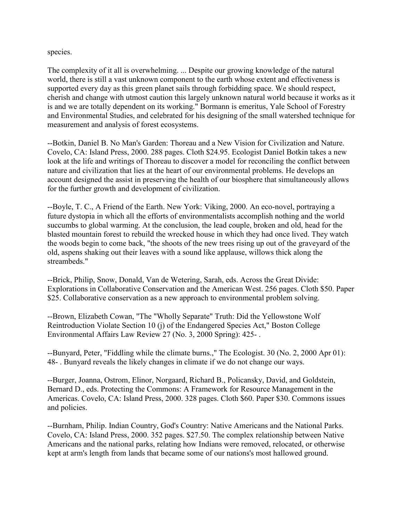species.

The complexity of it all is overwhelming. ... Despite our growing knowledge of the natural world, there is still a vast unknown component to the earth whose extent and effectiveness is supported every day as this green planet sails through forbidding space. We should respect, cherish and change with utmost caution this largely unknown natural world because it works as it is and we are totally dependent on its working." Bormann is emeritus, Yale School of Forestry and Environmental Studies, and celebrated for his designing of the small watershed technique for measurement and analysis of forest ecosystems.

--Botkin, Daniel B. No Man's Garden: Thoreau and a New Vision for Civilization and Nature. Covelo, CA: Island Press, 2000. 288 pages. Cloth \$24.95. Ecologist Daniel Botkin takes a new look at the life and writings of Thoreau to discover a model for reconciling the conflict between nature and civilization that lies at the heart of our environmental problems. He develops an account designed the assist in preserving the health of our biosphere that simultaneously allows for the further growth and development of civilization.

--Boyle, T. C., A Friend of the Earth. New York: Viking, 2000. An eco-novel, portraying a future dystopia in which all the efforts of environmentalists accomplish nothing and the world succumbs to global warming. At the conclusion, the lead couple, broken and old, head for the blasted mountain forest to rebuild the wrecked house in which they had once lived. They watch the woods begin to come back, "the shoots of the new trees rising up out of the graveyard of the old, aspens shaking out their leaves with a sound like applause, willows thick along the streambeds."

--Brick, Philip, Snow, Donald, Van de Wetering, Sarah, eds. Across the Great Divide: Explorations in Collaborative Conservation and the American West. 256 pages. Cloth \$50. Paper \$25. Collaborative conservation as a new approach to environmental problem solving.

--Brown, Elizabeth Cowan, "The "Wholly Separate" Truth: Did the Yellowstone Wolf Reintroduction Violate Section 10 (j) of the Endangered Species Act," Boston College Environmental Affairs Law Review 27 (No. 3, 2000 Spring): 425- .

--Bunyard, Peter, "Fiddling while the climate burns.," The Ecologist. 30 (No. 2, 2000 Apr 01): 48- . Bunyard reveals the likely changes in climate if we do not change our ways.

--Burger, Joanna, Ostrom, Elinor, Norgaard, Richard B., Policansky, David, and Goldstein, Bernard D., eds. Protecting the Commons: A Framework for Resource Management in the Americas. Covelo, CA: Island Press, 2000. 328 pages. Cloth \$60. Paper \$30. Commons issues and policies.

--Burnham, Philip. Indian Country, God's Country: Native Americans and the National Parks. Covelo, CA: Island Press, 2000. 352 pages. \$27.50. The complex relationship between Native Americans and the national parks, relating how Indians were removed, relocated, or otherwise kept at arm's length from lands that became some of our nations's most hallowed ground.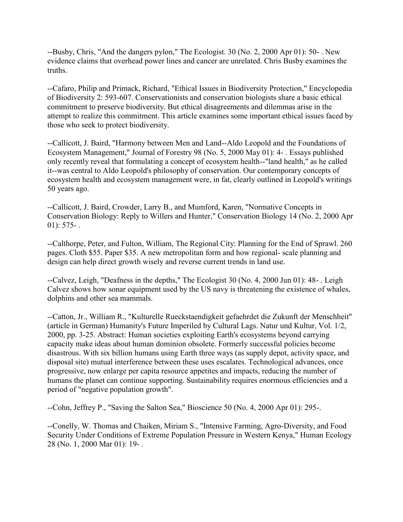--Busby, Chris, "And the dangers pylon," The Ecologist. 30 (No. 2, 2000 Apr 01): 50- . New evidence claims that overhead power lines and cancer are unrelated. Chris Busby examines the truths.

--Cafaro, Philip and Primack, Richard, "Ethical Issues in Biodiversity Protection," Encyclopedia of Biodiversity 2: 593-607. Conservationists and conservation biologists share a basic ethical commitment to preserve biodiversity. But ethical disagreements and dilemmas arise in the attempt to realize this commitment. This article examines some important ethical issues faced by those who seek to protect biodiversity.

--Callicott, J. Baird, "Harmony between Men and Land--Aldo Leopold and the Foundations of Ecosystem Management," Journal of Forestry 98 (No. 5, 2000 May 01): 4- . Essays published only recently reveal that formulating a concept of ecosystem health--"land health," as he called it--was central to Aldo Leopold's philosophy of conservation. Our contemporary concepts of ecosystem health and ecosystem management were, in fat, clearly outlined in Leopold's writings 50 years ago.

--Callicott, J. Baird, Crowder, Larry B., and Mumford, Karen, "Normative Concepts in Conservation Biology: Reply to Willers and Hunter," Conservation Biology 14 (No. 2, 2000 Apr  $01$ : 575-.

--Calthorpe, Peter, and Fulton, William, The Regional City: Planning for the End of Sprawl. 260 pages. Cloth \$55. Paper \$35. A new metropolitan form and how regional- scale planning and design can help direct growth wisely and reverse current trends in land use.

--Calvez, Leigh, "Deafness in the depths," The Ecologist 30 (No. 4, 2000 Jun 01): 48- . Leigh Calvez shows how sonar equipment used by the US navy is threatening the existence of whales, dolphins and other sea mammals.

--Catton, Jr., William R., "Kulturelle Rueckstaendigkeit gefaehrdet die Zukunft der Menschheit" (article in German) Humanity's Future Imperiled by Cultural Lags. Natur und Kultur, Vol. 1/2, 2000, pp. 3-25. Abstract: Human societies exploiting Earth's ecosystems beyond carrying capacity make ideas about human dominion obsolete. Formerly successful policies become disastrous. With six billion humans using Earth three ways (as supply depot, activity space, and disposal site) mutual interference between these uses escalates. Technological advances, once progressive, now enlarge per capita resource appetites and impacts, reducing the number of humans the planet can continue supporting. Sustainability requires enormous efficiencies and a period of "negative population growth".

--Cohn, Jeffrey P., "Saving the Salton Sea," Bioscience 50 (No. 4, 2000 Apr 01): 295-.

--Conelly, W. Thomas and Chaiken, Miriam S., "Intensive Farming, Agro-Diversity, and Food Security Under Conditions of Extreme Population Pressure in Western Kenya," Human Ecology 28 (No. 1, 2000 Mar 01): 19- .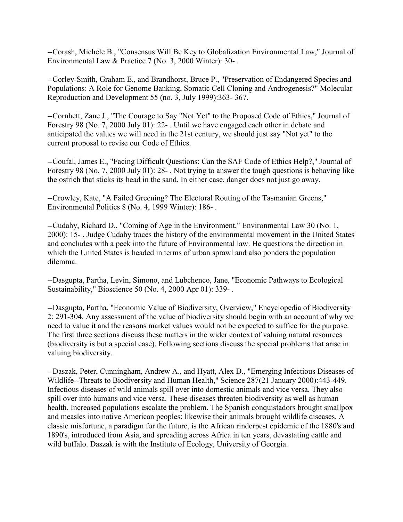--Corash, Michele B., "Consensus Will Be Key to Globalization Environmental Law," Journal of Environmental Law & Practice 7 (No. 3, 2000 Winter): 30- .

--Corley-Smith, Graham E., and Brandhorst, Bruce P., "Preservation of Endangered Species and Populations: A Role for Genome Banking, Somatic Cell Cloning and Androgenesis?" Molecular Reproduction and Development 55 (no. 3, July 1999):363- 367.

--Cornhett, Zane J., "The Courage to Say "Not Yet" to the Proposed Code of Ethics," Journal of Forestry 98 (No. 7, 2000 July 01): 22- . Until we have engaged each other in debate and anticipated the values we will need in the 21st century, we should just say "Not yet" to the current proposal to revise our Code of Ethics.

--Coufal, James E., "Facing Difficult Questions: Can the SAF Code of Ethics Help?," Journal of Forestry 98 (No. 7, 2000 July 01): 28- . Not trying to answer the tough questions is behaving like the ostrich that sticks its head in the sand. In either case, danger does not just go away.

--Crowley, Kate, "A Failed Greening? The Electoral Routing of the Tasmanian Greens," Environmental Politics 8 (No. 4, 1999 Winter): 186- .

--Cudahy, Richard D., "Coming of Age in the Environment," Environmental Law 30 (No. 1, 2000): 15- . Judge Cudahy traces the history of the environmental movement in the United States and concludes with a peek into the future of Environmental law. He questions the direction in which the United States is headed in terms of urban sprawl and also ponders the population dilemma.

--Dasgupta, Partha, Levin, Simono, and Lubchenco, Jane, "Economic Pathways to Ecological Sustainability," Bioscience 50 (No. 4, 2000 Apr 01): 339- .

--Dasgupta, Partha, "Economic Value of Biodiversity, Overview," Encyclopedia of Biodiversity 2: 291-304. Any assessment of the value of biodiversity should begin with an account of why we need to value it and the reasons market values would not be expected to suffice for the purpose. The first three sections discuss these matters in the wider context of valuing natural resources (biodiversity is but a special case). Following sections discuss the special problems that arise in valuing biodiversity.

--Daszak, Peter, Cunningham, Andrew A., and Hyatt, Alex D., "Emerging Infectious Diseases of Wildlife--Threats to Biodiversity and Human Health," Science 287(21 January 2000):443-449. Infectious diseases of wild animals spill over into domestic animals and vice versa. They also spill over into humans and vice versa. These diseases threaten biodiversity as well as human health. Increased populations escalate the problem. The Spanish conquistadors brought smallpox and measles into native American peoples; likewise their animals brought wildlife diseases. A classic misfortune, a paradigm for the future, is the African rinderpest epidemic of the 1880's and 1890's, introduced from Asia, and spreading across Africa in ten years, devastating cattle and wild buffalo. Daszak is with the Institute of Ecology, University of Georgia.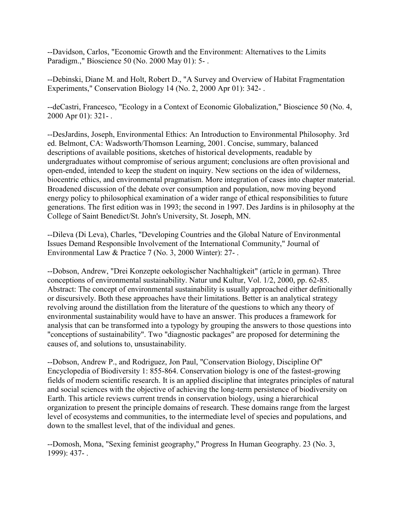--Davidson, Carlos, "Economic Growth and the Environment: Alternatives to the Limits Paradigm.," Bioscience 50 (No. 2000 May 01): 5- .

--Debinski, Diane M. and Holt, Robert D., "A Survey and Overview of Habitat Fragmentation Experiments," Conservation Biology 14 (No. 2, 2000 Apr 01): 342-.

--deCastri, Francesco, "Ecology in a Context of Economic Globalization," Bioscience 50 (No. 4, 2000 Apr 01): 321- .

--DesJardins, Joseph, Environmental Ethics: An Introduction to Environmental Philosophy. 3rd ed. Belmont, CA: Wadsworth/Thomson Learning, 2001. Concise, summary, balanced descriptions of available positions, sketches of historical developments, readable by undergraduates without compromise of serious argument; conclusions are often provisional and open-ended, intended to keep the student on inquiry. New sections on the idea of wilderness, biocentric ethics, and environmental pragmatism. More integration of cases into chapter material. Broadened discussion of the debate over consumption and population, now moving beyond energy policy to philosophical examination of a wider range of ethical responsibilities to future generations. The first edition was in 1993; the second in 1997. Des Jardins is in philosophy at the College of Saint Benedict/St. John's University, St. Joseph, MN.

--Dileva (Di Leva), Charles, "Developing Countries and the Global Nature of Environmental Issues Demand Responsible Involvement of the International Community," Journal of Environmental Law & Practice 7 (No. 3, 2000 Winter): 27- .

--Dobson, Andrew, "Drei Konzepte oekologischer Nachhaltigkeit" (article in german). Three conceptions of environmental sustainability. Natur und Kultur, Vol. 1/2, 2000, pp. 62-85. Abstract: The concept of environmental sustainability is usually approached either definitionally or discursively. Both these approaches have their limitations. Better is an analytical strategy revolving around the distillation from the literature of the questions to which any theory of environmental sustainability would have to have an answer. This produces a framework for analysis that can be transformed into a typology by grouping the answers to those questions into "conceptions of sustainability". Two "diagnostic packages" are proposed for determining the causes of, and solutions to, unsustainability.

--Dobson, Andrew P., and Rodriguez, Jon Paul, "Conservation Biology, Discipline Of" Encyclopedia of Biodiversity 1: 855-864. Conservation biology is one of the fastest-growing fields of modern scientific research. It is an applied discipline that integrates principles of natural and social sciences with the objective of achieving the long-term persistence of biodiversity on Earth. This article reviews current trends in conservation biology, using a hierarchical organization to present the principle domains of research. These domains range from the largest level of ecosystems and communities, to the intermediate level of species and populations, and down to the smallest level, that of the individual and genes.

--Domosh, Mona, "Sexing feminist geography," Progress In Human Geography. 23 (No. 3, 1999): 437- .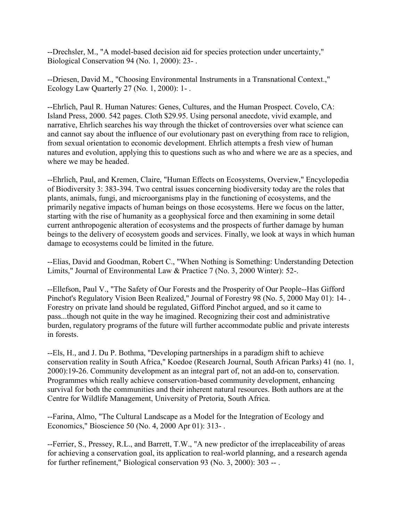--Drechsler, M., "A model-based decision aid for species protection under uncertainty," Biological Conservation 94 (No. 1, 2000): 23- .

--Driesen, David M., "Choosing Environmental Instruments in a Transnational Context.," Ecology Law Quarterly 27 (No. 1, 2000): 1- .

--Ehrlich, Paul R. Human Natures: Genes, Cultures, and the Human Prospect. Covelo, CA: Island Press, 2000. 542 pages. Cloth \$29.95. Using personal anecdote, vivid example, and narrative, Ehrlich searches his way through the thicket of controversies over what science can and cannot say about the influence of our evolutionary past on everything from race to religion, from sexual orientation to economic development. Ehrlich attempts a fresh view of human natures and evolution, applying this to questions such as who and where we are as a species, and where we may be headed.

--Ehrlich, Paul, and Kremen, Claire, "Human Effects on Ecosystems, Overview," Encyclopedia of Biodiversity 3: 383-394. Two central issues concerning biodiversity today are the roles that plants, animals, fungi, and microorganisms play in the functioning of ecosystems, and the primarily negative impacts of human beings on those ecosystems. Here we focus on the latter, starting with the rise of humanity as a geophysical force and then examining in some detail current anthropogenic alteration of ecosystems and the prospects of further damage by human beings to the delivery of ecosystem goods and services. Finally, we look at ways in which human damage to ecosystems could be limited in the future.

--Elias, David and Goodman, Robert C., "When Nothing is Something: Understanding Detection Limits," Journal of Environmental Law & Practice 7 (No. 3, 2000 Winter): 52-.

--Ellefson, Paul V., "The Safety of Our Forests and the Prosperity of Our People--Has Gifford Pinchot's Regulatory Vision Been Realized," Journal of Forestry 98 (No. 5, 2000 May 01): 14- . Forestry on private land should be regulated, Gifford Pinchot argued, and so it came to pass...though not quite in the way he imagined. Recognizing their cost and administrative burden, regulatory programs of the future will further accommodate public and private interests in forests.

--Els, H., and J. Du P. Bothma, "Developing partnerships in a paradigm shift to achieve conservation reality in South Africa," Koedoe (Research Journal, South African Parks) 41 (no. 1, 2000):19-26. Community development as an integral part of, not an add-on to, conservation. Programmes which really achieve conservation-based community development, enhancing survival for both the communities and their inherent natural resources. Both authors are at the Centre for Wildlife Management, University of Pretoria, South Africa.

--Farina, Almo, "The Cultural Landscape as a Model for the Integration of Ecology and Economics," Bioscience 50 (No. 4, 2000 Apr 01): 313- .

--Ferrier, S., Pressey, R.L., and Barrett, T.W., "A new predictor of the irreplaceability of areas for achieving a conservation goal, its application to real-world planning, and a research agenda for further refinement," Biological conservation 93 (No. 3, 2000): 303 -- .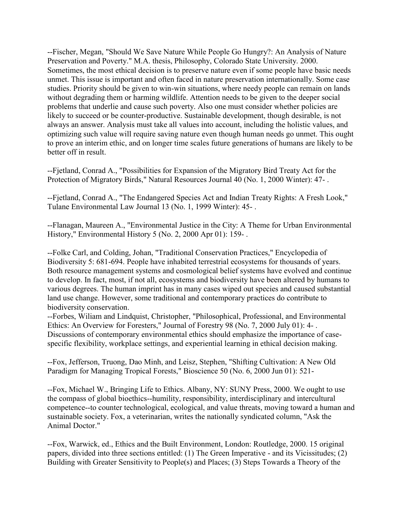--Fischer, Megan, "Should We Save Nature While People Go Hungry?: An Analysis of Nature Preservation and Poverty." M.A. thesis, Philosophy, Colorado State University. 2000. Sometimes, the most ethical decision is to preserve nature even if some people have basic needs unmet. This issue is important and often faced in nature preservation internationally. Some case studies. Priority should be given to win-win situations, where needy people can remain on lands without degrading them or harming wildlife. Attention needs to be given to the deeper social problems that underlie and cause such poverty. Also one must consider whether policies are likely to succeed or be counter-productive. Sustainable development, though desirable, is not always an answer. Analysis must take all values into account, including the holistic values, and optimizing such value will require saving nature even though human needs go unmet. This ought to prove an interim ethic, and on longer time scales future generations of humans are likely to be better off in result.

--Fjetland, Conrad A., "Possibilities for Expansion of the Migratory Bird Treaty Act for the Protection of Migratory Birds," Natural Resources Journal 40 (No. 1, 2000 Winter): 47- .

--Fjetland, Conrad A., "The Endangered Species Act and Indian Treaty Rights: A Fresh Look," Tulane Environmental Law Journal 13 (No. 1, 1999 Winter): 45- .

--Flanagan, Maureen A., "Environmental Justice in the City: A Theme for Urban Environmental History," Environmental History 5 (No. 2, 2000 Apr 01): 159- .

--Folke Carl, and Colding, Johan, "Traditional Conservation Practices," Encyclopedia of Biodiversity 5: 681-694. People have inhabited terrestrial ecosystems for thousands of years. Both resource management systems and cosmological belief systems have evolved and continue to develop. In fact, most, if not all, ecosystems and biodiversity have been altered by humans to various degrees. The human imprint has in many cases wiped out species and caused substantial land use change. However, some traditional and contemporary practices do contribute to biodiversity conservation.

--Forbes, Wiliam and Lindquist, Christopher, "Philosophical, Professional, and Environmental Ethics: An Overview for Foresters," Journal of Forestry 98 (No. 7, 2000 July 01): 4- . Discussions of contemporary environmental ethics should emphasize the importance of casespecific flexibility, workplace settings, and experiential learning in ethical decision making.

--Fox, Jefferson, Truong, Dao Minh, and Leisz, Stephen, "Shifting Cultivation: A New Old Paradigm for Managing Tropical Forests," Bioscience 50 (No. 6, 2000 Jun 01): 521-

--Fox, Michael W., Bringing Life to Ethics. Albany, NY: SUNY Press, 2000. We ought to use the compass of global bioethics--humility, responsibility, interdisciplinary and intercultural competence--to counter technological, ecological, and value threats, moving toward a human and sustainable society. Fox, a veterinarian, writes the nationally syndicated column, "Ask the Animal Doctor."

--Fox, Warwick, ed., Ethics and the Built Environment, London: Routledge, 2000. 15 original papers, divided into three sections entitled: (1) The Green Imperative - and its Vicissitudes; (2) Building with Greater Sensitivity to People(s) and Places; (3) Steps Towards a Theory of the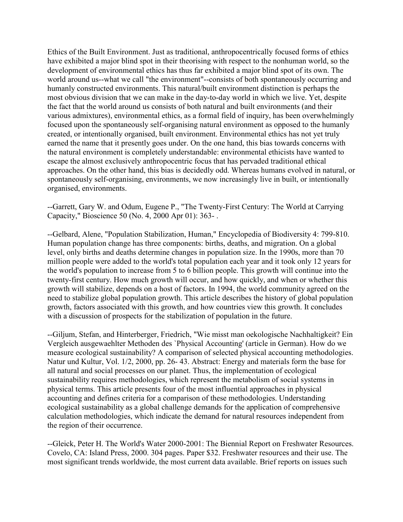Ethics of the Built Environment. Just as traditional, anthropocentrically focused forms of ethics have exhibited a major blind spot in their theorising with respect to the nonhuman world, so the development of environmental ethics has thus far exhibited a major blind spot of its own. The world around us--what we call "the environment"--consists of both spontaneously occurring and humanly constructed environments. This natural/built environment distinction is perhaps the most obvious division that we can make in the day-to-day world in which we live. Yet, despite the fact that the world around us consists of both natural and built environments (and their various admixtures), environmental ethics, as a formal field of inquiry, has been overwhelmingly focused upon the spontaneously self-organising natural environment as opposed to the humanly created, or intentionally organised, built environment. Environmental ethics has not yet truly earned the name that it presently goes under. On the one hand, this bias towards concerns with the natural environment is completely understandable: environmental ethicists have wanted to escape the almost exclusively anthropocentric focus that has pervaded traditional ethical approaches. On the other hand, this bias is decidedly odd. Whereas humans evolved in natural, or spontaneously self-organising, environments, we now increasingly live in built, or intentionally organised, environments.

--Garrett, Gary W. and Odum, Eugene P., "The Twenty-First Century: The World at Carrying Capacity," Bioscience 50 (No. 4, 2000 Apr 01): 363- .

--Gelbard, Alene, "Population Stabilization, Human," Encyclopedia of Biodiversity 4: 799-810. Human population change has three components: births, deaths, and migration. On a global level, only births and deaths determine changes in population size. In the 1990s, more than 70 million people were added to the world's total population each year and it took only 12 years for the world's population to increase from 5 to 6 billion people. This growth will continue into the twenty-first century. How much growth will occur, and how quickly, and when or whether this growth will stabilize, depends on a host of factors. In 1994, the world community agreed on the need to stabilize global population growth. This article describes the history of global population growth, factors associated with this growth, and how countries view this growth. It concludes with a discussion of prospects for the stabilization of population in the future.

--Giljum, Stefan, and Hinterberger, Friedrich, "Wie misst man oekologische Nachhaltigkeit? Ein Vergleich ausgewaehlter Methoden des `Physical Accounting' (article in German). How do we measure ecological sustainability? A comparison of selected physical accounting methodologies. Natur und Kultur, Vol. 1/2, 2000, pp. 26- 43. Abstract: Energy and materials form the base for all natural and social processes on our planet. Thus, the implementation of ecological sustainability requires methodologies, which represent the metabolism of social systems in physical terms. This article presents four of the most influential approaches in physical accounting and defines criteria for a comparison of these methodologies. Understanding ecological sustainability as a global challenge demands for the application of comprehensive calculation methodologies, which indicate the demand for natural resources independent from the region of their occurrence.

--Gleick, Peter H. The World's Water 2000-2001: The Biennial Report on Freshwater Resources. Covelo, CA: Island Press, 2000. 304 pages. Paper \$32. Freshwater resources and their use. The most significant trends worldwide, the most current data available. Brief reports on issues such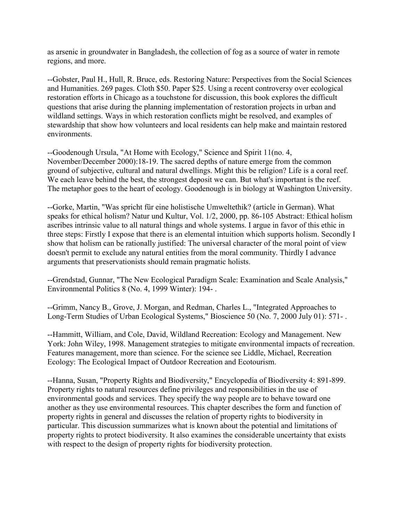as arsenic in groundwater in Bangladesh, the collection of fog as a source of water in remote regions, and more.

--Gobster, Paul H., Hull, R. Bruce, eds. Restoring Nature: Perspectives from the Social Sciences and Humanities. 269 pages. Cloth \$50. Paper \$25. Using a recent controversy over ecological restoration efforts in Chicago as a touchstone for discussion, this book explores the difficult questions that arise during the planning implementation of restoration projects in urban and wildland settings. Ways in which restoration conflicts might be resolved, and examples of stewardship that show how volunteers and local residents can help make and maintain restored environments.

--Goodenough Ursula, "At Home with Ecology," Science and Spirit 11(no. 4, November/December 2000):18-19. The sacred depths of nature emerge from the common ground of subjective, cultural and natural dwellings. Might this be religion? Life is a coral reef. We each leave behind the best, the strongest deposit we can. But what's important is the reef. The metaphor goes to the heart of ecology. Goodenough is in biology at Washington University.

--Gorke, Martin, "Was spricht für eine holistische Umweltethik? (article in German). What speaks for ethical holism? Natur und Kultur, Vol. 1/2, 2000, pp. 86-105 Abstract: Ethical holism ascribes intrinsic value to all natural things and whole systems. I argue in favor of this ethic in three steps: Firstly I expose that there is an elemental intuition which supports holism. Secondly I show that holism can be rationally justified: The universal character of the moral point of view doesn't permit to exclude any natural entities from the moral community. Thirdly I advance arguments that preservationists should remain pragmatic holists.

--Grendstad, Gunnar, "The New Ecological Paradigm Scale: Examination and Scale Analysis," Environmental Politics 8 (No. 4, 1999 Winter): 194- .

--Grimm, Nancy B., Grove, J. Morgan, and Redman, Charles L., "Integrated Approaches to Long-Term Studies of Urban Ecological Systems," Bioscience 50 (No. 7, 2000 July 01): 571- .

--Hammitt, William, and Cole, David, Wildland Recreation: Ecology and Management. New York: John Wiley, 1998. Management strategies to mitigate environmental impacts of recreation. Features management, more than science. For the science see Liddle, Michael, Recreation Ecology: The Ecological Impact of Outdoor Recreation and Ecotourism.

--Hanna, Susan, "Property Rights and Biodiversity," Encyclopedia of Biodiversity 4: 891-899. Property rights to natural resources define privileges and responsibilities in the use of environmental goods and services. They specify the way people are to behave toward one another as they use environmental resources. This chapter describes the form and function of property rights in general and discusses the relation of property rights to biodiversity in particular. This discussion summarizes what is known about the potential and limitations of property rights to protect biodiversity. It also examines the considerable uncertainty that exists with respect to the design of property rights for biodiversity protection.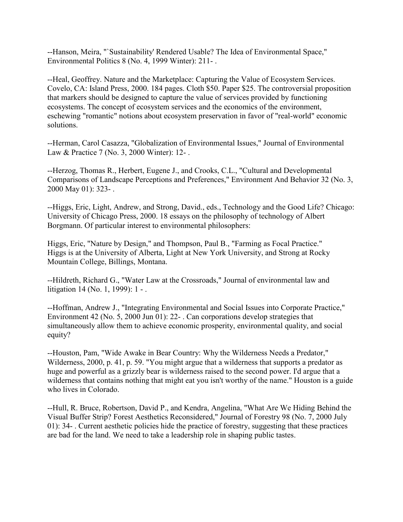--Hanson, Meira, "`Sustainability' Rendered Usable? The Idea of Environmental Space," Environmental Politics 8 (No. 4, 1999 Winter): 211- .

--Heal, Geoffrey. Nature and the Marketplace: Capturing the Value of Ecosystem Services. Covelo, CA: Island Press, 2000. 184 pages. Cloth \$50. Paper \$25. The controversial proposition that markers should be designed to capture the value of services provided by functioning ecosystems. The concept of ecosystem services and the economics of the environment, eschewing "romantic" notions about ecosystem preservation in favor of "real-world" economic solutions.

--Herman, Carol Casazza, "Globalization of Environmental Issues," Journal of Environmental Law & Practice 7 (No. 3, 2000 Winter): 12- .

--Herzog, Thomas R., Herbert, Eugene J., and Crooks, C.L., "Cultural and Developmental Comparisons of Landscape Perceptions and Preferences," Environment And Behavior 32 (No. 3, 2000 May 01): 323- .

--Higgs, Eric, Light, Andrew, and Strong, David., eds., Technology and the Good Life? Chicago: University of Chicago Press, 2000. 18 essays on the philosophy of technology of Albert Borgmann. Of particular interest to environmental philosophers:

Higgs, Eric, "Nature by Design," and Thompson, Paul B., "Farming as Focal Practice." Higgs is at the University of Alberta, Light at New York University, and Strong at Rocky Mountain College, Billings, Montana.

--Hildreth, Richard G., "Water Law at the Crossroads," Journal of environmental law and litigation 14 (No. 1, 1999): 1 - .

--Hoffman, Andrew J., "Integrating Environmental and Social Issues into Corporate Practice," Environment 42 (No. 5, 2000 Jun 01): 22- . Can corporations develop strategies that simultaneously allow them to achieve economic prosperity, environmental quality, and social equity?

--Houston, Pam, "Wide Awake in Bear Country: Why the Wilderness Needs a Predator," Wilderness, 2000, p. 41, p. 59. "You might argue that a wilderness that supports a predator as huge and powerful as a grizzly bear is wilderness raised to the second power. I'd argue that a wilderness that contains nothing that might eat you isn't worthy of the name." Houston is a guide who lives in Colorado.

--Hull, R. Bruce, Robertson, David P., and Kendra, Angelina, "What Are We Hiding Behind the Visual Buffer Strip? Forest Aesthetics Reconsidered," Journal of Forestry 98 (No. 7, 2000 July 01): 34- . Current aesthetic policies hide the practice of forestry, suggesting that these practices are bad for the land. We need to take a leadership role in shaping public tastes.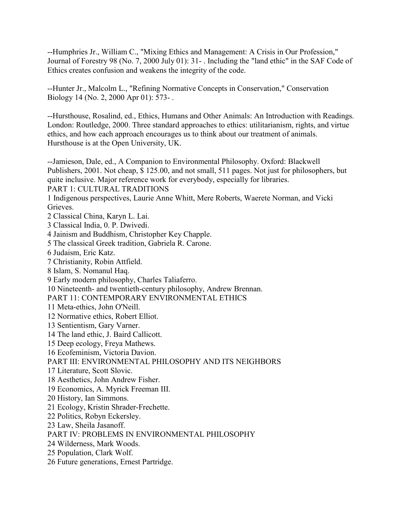--Humphries Jr., William C., "Mixing Ethics and Management: A Crisis in Our Profession," Journal of Forestry 98 (No. 7, 2000 July 01): 31- . Including the "land ethic" in the SAF Code of Ethics creates confusion and weakens the integrity of the code.

--Hunter Jr., Malcolm L., "Refining Normative Concepts in Conservation," Conservation Biology 14 (No. 2, 2000 Apr 01): 573- .

--Hursthouse, Rosalind, ed., Ethics, Humans and Other Animals: An Introduction with Readings. London: Routledge, 2000. Three standard approaches to ethics: utilitarianism, rights, and virtue ethics, and how each approach encourages us to think about our treatment of animals. Hursthouse is at the Open University, UK.

--Jamieson, Dale, ed., A Companion to Environmental Philosophy. Oxford: Blackwell Publishers, 2001. Not cheap, \$ 125.00, and not small, 511 pages. Not just for philosophers, but quite inclusive. Major reference work for everybody, especially for libraries.

PART 1: CULTURAL TRADITIONS

1 Indigenous perspectives, Laurie Anne Whitt, Mere Roberts, Waerete Norman, and Vicki Grieves.

2 Classical China, Karyn L. Lai.

3 Classical India, 0. P. Dwivedi.

4 Jainism and Buddhism, Christopher Key Chapple.

5 The classical Greek tradition, Gabriela R. Carone.

6 Judaism, Eric Katz.

7 Christianity, Robin Attfield.

8 Islam, S. Nomanul Haq.

9 Early modern philosophy, Charles Taliaferro.

10 Nineteenth- and twentieth-century philosophy, Andrew Brennan.

PART 11: CONTEMPORARY ENVIRONMENTAL ETHICS

11 Meta-ethics, John O'Neill.

12 Normative ethics, Robert Elliot.

13 Sentientism, Gary Varner.

14 The land ethic, J. Baird Callicott.

15 Deep ecology, Freya Mathews.

16 Ecofeminism, Victoria Davion.

#### PART III: ENVIRONMENTAL PHILOSOPHY AND ITS NEIGHBORS

17 Literature, Scott Slovic.

18 Aesthetics, John Andrew Fisher.

19 Economics, A. Myrick Freeman III.

20 History, Ian Simmons.

21 Ecology, Kristin Shrader-Frechette.

22 Politics, Robyn Eckersley.

23 Law, Sheila Jasanoff.

PART IV: PROBLEMS IN ENVIRONMENTAL PHILOSOPHY

24 Wilderness, Mark Woods.

25 Population, Clark Wolf.

26 Future generations, Ernest Partridge.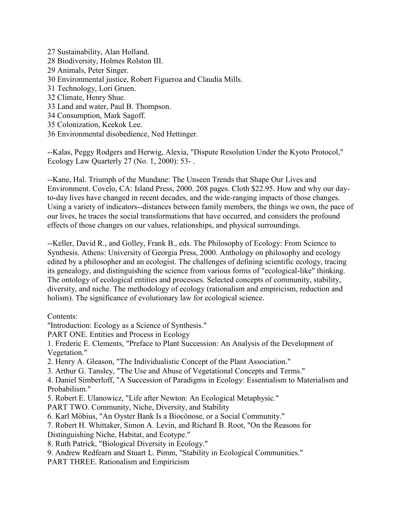- 27 Sustainability, Alan Holland. 28 Biodiversity, Holmes Rolston III. 29 Animals, Peter Singer. 30 Environmental justice, Robert Figueroa and Claudia Mills. 31 Technology, Lori Gruen. 32 Climate, Henry Shue. 33 Land and water, Paul B. Thompson. 34 Consumption, Mark Sagoff. 35 Colonization, Keekok Lee.
- 36 Environmental disobedience, Ned Hettinger.

--Kalas, Peggy Rodgers and Herwig, Alexia, "Dispute Resolution Under the Kyoto Protocol," Ecology Law Quarterly 27 (No. 1, 2000): 53- .

--Kane, Hal. Triumph of the Mundane: The Unseen Trends that Shape Our Lives and Environment. Covelo, CA: Island Press, 2000. 208 pages. Cloth \$22.95. How and why our dayto-day lives have changed in recent decades, and the wide-ranging impacts of those changes. Using a variety of indicators--distances between family members, the things we own, the pace of our lives, he traces the social transformations that have occurred, and considers the profound effects of those changes on our values, relationships, and physical surroundings.

--Keller, David R., and Golley, Frank B., eds. The Philosophy of Ecology: From Science to Synthesis. Athens: University of Georgia Press, 2000. Anthology on philosophy and ecology edited by a philosopher and an ecologist. The challenges of defining scientific ecology, tracing its genealogy, and distinguishing the science from various forms of "ecological-like" thinking. The ontology of ecological entities and processes. Selected concepts of community, stability, diversity, and niche. The methodology of ecology (rationalism and empiricism, reduction and holism). The significance of evolutionary law for ecological science.

Contents:

"Introduction: Ecology as a Science of Synthesis."

PART ONE. Entities and Process in Ecology

1. Frederic E. Clements, "Preface to Plant Succession: An Analysis of the Development of Vegetation."

- 2. Henry A. Gleason, "The Individualistic Concept of the Plant Association."
- 3. Arthur G. Tansley, "The Use and Abuse of Vegetational Concepts and Terms."

4. Daniel Simberloff, "A Succession of Paradigms in Ecology: Essentialism to Materialism and Probabilism."

- 5. Robert E. Ulanowicz, "Life after Newton: An Ecological Metaphysic."
- PART TWO. Community, Niche, Diversity, and Stability
- 6. Karl Möbius, "An Oyster Bank Is a Biocönose, or a Social Community."
- 7. Robert H. Whittaker, Simon A. Levin, and Richard B. Root, "On the Reasons for
- Distinguishing Niche, Habitat, and Ecotype."
- 8. Ruth Patrick, "Biological Diversity in Ecology."
- 9. Andrew Redfearn and Stuart L. Pimm, "Stability in Ecological Communities."
- PART THREE. Rationalism and Empiricism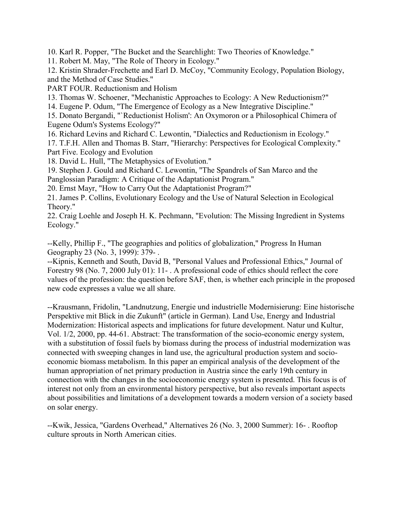10. Karl R. Popper, "The Bucket and the Searchlight: Two Theories of Knowledge."

11. Robert M. May, "The Role of Theory in Ecology."

12. Kristin Shrader-Frechette and Earl D. McCoy, "Community Ecology, Population Biology, and the Method of Case Studies."

PART FOUR. Reductionism and Holism

13. Thomas W. Schoener, "Mechanistic Approaches to Ecology: A New Reductionism?"

14. Eugene P. Odum, "The Emergence of Ecology as a New Integrative Discipline."

15. Donato Bergandi, "`Reductionist Holism': An Oxymoron or a Philosophical Chimera of Eugene Odum's Systems Ecology?"

16. Richard Levins and Richard C. Lewontin, "Dialectics and Reductionism in Ecology." 17. T.F.H. Allen and Thomas B. Starr, "Hierarchy: Perspectives for Ecological Complexity." Part Five. Ecology and Evolution

18. David L. Hull, "The Metaphysics of Evolution."

19. Stephen J. Gould and Richard C. Lewontin, "The Spandrels of San Marco and the Panglossian Paradigm: A Critique of the Adaptationist Program."

20. Ernst Mayr, "How to Carry Out the Adaptationist Program?"

21. James P. Collins, Evolutionary Ecology and the Use of Natural Selection in Ecological Theory."

22. Craig Loehle and Joseph H. K. Pechmann, "Evolution: The Missing Ingredient in Systems Ecology."

--Kelly, Phillip F., "The geographies and politics of globalization," Progress In Human Geography 23 (No. 3, 1999): 379- .

--Kipnis, Kenneth and South, David B, "Personal Values and Professional Ethics," Journal of Forestry 98 (No. 7, 2000 July 01): 11- . A professional code of ethics should reflect the core values of the profession: the question before SAF, then, is whether each principle in the proposed new code expresses a value we all share.

--Krausmann, Fridolin, "Landnutzung, Energie und industrielle Modernisierung: Eine historische Perspektive mit Blick in die Zukunft" (article in German). Land Use, Energy and Industrial Modernization: Historical aspects and implications for future development. Natur und Kultur, Vol. 1/2, 2000, pp. 44-61. Abstract: The transformation of the socio-economic energy system, with a substitution of fossil fuels by biomass during the process of industrial modernization was connected with sweeping changes in land use, the agricultural production system and socioeconomic biomass metabolism. In this paper an empirical analysis of the development of the human appropriation of net primary production in Austria since the early 19th century in connection with the changes in the socioeconomic energy system is presented. This focus is of interest not only from an environmental history perspective, but also reveals important aspects about possibilities and limitations of a development towards a modern version of a society based on solar energy.

--Kwik, Jessica, "Gardens Overhead," Alternatives 26 (No. 3, 2000 Summer): 16- . Rooftop culture sprouts in North American cities.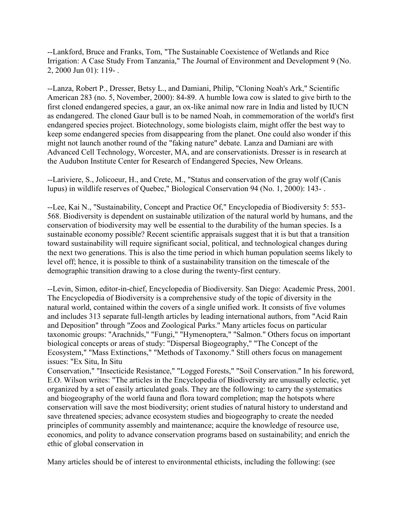--Lankford, Bruce and Franks, Tom, "The Sustainable Coexistence of Wetlands and Rice Irrigation: A Case Study From Tanzania," The Journal of Environment and Development 9 (No. 2, 2000 Jun 01): 119- .

--Lanza, Robert P., Dresser, Betsy L., and Damiani, Philip, "Cloning Noah's Ark," Scientific American 283 (no. 5, November, 2000): 84-89. A humble Iowa cow is slated to give birth to the first cloned endangered species, a gaur, an ox-like animal now rare in India and listed by IUCN as endangered. The cloned Gaur bull is to be named Noah, in commemoration of the world's first endangered species project. Biotechnology, some biologists claim, might offer the best way to keep some endangered species from disappearing from the planet. One could also wonder if this might not launch another round of the "faking nature" debate. Lanza and Damiani are with Advanced Cell Technology, Worcester, MA, and are conservationists. Dresser is in research at the Audubon Institute Center for Research of Endangered Species, New Orleans.

--Lariviere, S., Jolicoeur, H., and Crete, M., "Status and conservation of the gray wolf (Canis lupus) in wildlife reserves of Quebec," Biological Conservation 94 (No. 1, 2000): 143- .

--Lee, Kai N., "Sustainability, Concept and Practice Of," Encyclopedia of Biodiversity 5: 553- 568. Biodiversity is dependent on sustainable utilization of the natural world by humans, and the conservation of biodiversity may well be essential to the durability of the human species. Is a sustainable economy possible? Recent scientific appraisals suggest that it is but that a transition toward sustainability will require significant social, political, and technological changes during the next two generations. This is also the time period in which human population seems likely to level off; hence, it is possible to think of a sustainability transition on the timescale of the demographic transition drawing to a close during the twenty-first century.

--Levin, Simon, editor-in-chief, Encyclopedia of Biodiversity. San Diego: Academic Press, 2001. The Encyclopedia of Biodiversity is a comprehensive study of the topic of diversity in the natural world, contained within the covers of a single unified work. It consists of five volumes and includes 313 separate full-length articles by leading international authors, from "Acid Rain and Deposition" through "Zoos and Zoological Parks." Many articles focus on particular taxonomic groups: "Arachnids," "Fungi," "Hymenoptera," "Salmon." Others focus on important biological concepts or areas of study: "Dispersal Biogeography," "The Concept of the Ecosystem," "Mass Extinctions," "Methods of Taxonomy." Still others focus on management issues: "Ex Situ, In Situ

Conservation," "Insecticide Resistance," "Logged Forests," "Soil Conservation." In his foreword, E.O. Wilson writes: "The articles in the Encyclopedia of Biodiversity are unusually eclectic, yet organized by a set of easily articulated goals. They are the following: to carry the systematics and biogeography of the world fauna and flora toward completion; map the hotspots where conservation will save the most biodiversity; orient studies of natural history to understand and save threatened species; advance ecosystem studies and biogeography to create the needed principles of community assembly and maintenance; acquire the knowledge of resource use, economics, and polity to advance conservation programs based on sustainability; and enrich the ethic of global conservation in

Many articles should be of interest to environmental ethicists, including the following: (see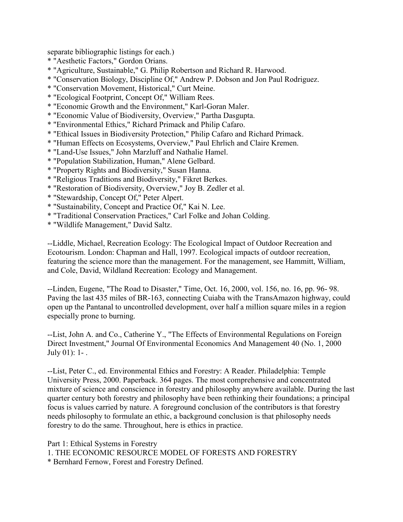separate bibliographic listings for each.)

- \* "Aesthetic Factors," Gordon Orians.
- \* "Agriculture, Sustainable," G. Philip Robertson and Richard R. Harwood.
- \* "Conservation Biology, Discipline Of," Andrew P. Dobson and Jon Paul Rodriguez.
- \* "Conservation Movement, Historical," Curt Meine.
- \* "Ecological Footprint, Concept Of," William Rees.
- \* "Economic Growth and the Environment," Karl-Goran Maler.
- \* "Economic Value of Biodiversity, Overview," Partha Dasgupta.
- \* "Environmental Ethics," Richard Primack and Philip Cafaro.
- \* "Ethical Issues in Biodiversity Protection," Philip Cafaro and Richard Primack.
- \* "Human Effects on Ecosystems, Overview," Paul Ehrlich and Claire Kremen.
- \* "Land-Use Issues," John Marzluff and Nathalie Hamel.
- \* "Population Stabilization, Human," Alene Gelbard.
- \* "Property Rights and Biodiversity," Susan Hanna.
- \* "Religious Traditions and Biodiversity," Fikret Berkes.
- \* "Restoration of Biodiversity, Overview," Joy B. Zedler et al.
- \* "Stewardship, Concept Of," Peter Alpert.
- \* "Sustainability, Concept and Practice Of," Kai N. Lee.
- \* "Traditional Conservation Practices," Carl Folke and Johan Colding.
- \* "Wildlife Management," David Saltz.

--Liddle, Michael, Recreation Ecology: The Ecological Impact of Outdoor Recreation and Ecotourism. London: Chapman and Hall, 1997. Ecological impacts of outdoor recreation, featuring the science more than the management. For the management, see Hammitt, William, and Cole, David, Wildland Recreation: Ecology and Management.

--Linden, Eugene, "The Road to Disaster," Time, Oct. 16, 2000, vol. 156, no. 16, pp. 96- 98. Paving the last 435 miles of BR-163, connecting Cuiaba with the TransAmazon highway, could open up the Pantanal to uncontrolled development, over half a million square miles in a region especially prone to burning.

--List, John A. and Co., Catherine Y., "The Effects of Environmental Regulations on Foreign Direct Investment," Journal Of Environmental Economics And Management 40 (No. 1, 2000 July 01): 1- .

--List, Peter C., ed. Environmental Ethics and Forestry: A Reader. Philadelphia: Temple University Press, 2000. Paperback. 364 pages. The most comprehensive and concentrated mixture of science and conscience in forestry and philosophy anywhere available. During the last quarter century both forestry and philosophy have been rethinking their foundations; a principal focus is values carried by nature. A foreground conclusion of the contributors is that forestry needs philosophy to formulate an ethic, a background conclusion is that philosophy needs forestry to do the same. Throughout, here is ethics in practice.

Part 1: Ethical Systems in Forestry

1. THE ECONOMIC RESOURCE MODEL OF FORESTS AND FORESTRY

\* Bernhard Fernow, Forest and Forestry Defined.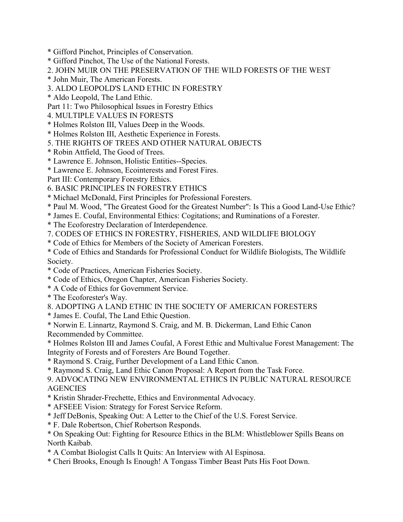- \* Gifford Pinchot, Principles of Conservation.
- \* Gifford Pinchot, The Use of the National Forests.
- 2. JOHN MUIR ON THE PRESERVATION OF THE WILD FORESTS OF THE WEST
- \* John Muir, The American Forests.
- 3. ALDO LEOPOLD'S LAND ETHIC IN FORESTRY
- \* Aldo Leopold, The Land Ethic.
- Part 11: Two Philosophical Issues in Forestry Ethics
- 4. MULTIPLE VALUES IN FORESTS
- \* Holmes Rolston III, Values Deep in the Woods.
- \* Holmes Rolston III, Aesthetic Experience in Forests.
- 5. THE RIGHTS OF TREES AND OTHER NATURAL OBJECTS
- \* Robin Attfield, The Good of Trees.
- \* Lawrence E. Johnson, Holistic Entities--Species.
- \* Lawrence E. Johnson, Ecointerests and Forest Fires.
- Part III: Contemporary Forestry Ethics.
- 6. BASIC PRINCIPLES IN FORESTRY ETHICS
- \* Michael McDonald, First Principles for Professional Foresters.
- \* Paul M. Wood, "The Greatest Good for the Greatest Number": Is This a Good Land-Use Ethic?
- \* James E. Coufal, Environmental Ethics: Cogitations; and Ruminations of a Forester.
- \* The Ecoforestry Declaration of Interdependence.
- 7. CODES OF ETHICS IN FORESTRY, FISHERIES, AND WILDLIFE BIOLOGY
- \* Code of Ethics for Members of the Society of American Foresters.
- \* Code of Ethics and Standards for Professional Conduct for Wildlife Biologists, The Wildlife Society.
- \* Code of Practices, American Fisheries Society.
- \* Code of Ethics, Oregon Chapter, American Fisheries Society.
- \* A Code of Ethics for Government Service.
- \* The Ecoforester's Way.
- 8. ADOPTING A LAND ETHIC IN THE SOCIETY OF AMERICAN FORESTERS
- \* James E. Coufal, The Land Ethic Question.
- \* Norwin E. Linnartz, Raymond S. Craig, and M. B. Dickerman, Land Ethic Canon Recommended by Committee.
- \* Holmes Rolston III and James Coufal, A Forest Ethic and Multivalue Forest Management: The Integrity of Forests and of Foresters Are Bound Together.
- \* Raymond S. Craig, Further Development of a Land Ethic Canon.
- \* Raymond S. Craig, Land Ethic Canon Proposal: A Report from the Task Force.
- 9. ADVOCATING NEW ENVIRONMENTAL ETHICS IN PUBLIC NATURAL RESOURCE **AGENCIES**
- \* Kristin Shrader-Frechette, Ethics and Environmental Advocacy.
- \* AFSEEE Vision: Strategy for Forest Service Reform.
- \* Jeff DeBonis, Speaking Out: A Letter to the Chief of the U.S. Forest Service.
- \* F. Dale Robertson, Chief Robertson Responds.
- \* On Speaking Out: Fighting for Resource Ethics in the BLM: Whistleblower Spills Beans on North Kaibab.
- \* A Combat Biologist Calls It Quits: An Interview with Al Espinosa.
- \* Cheri Brooks, Enough Is Enough! A Tongass Timber Beast Puts His Foot Down.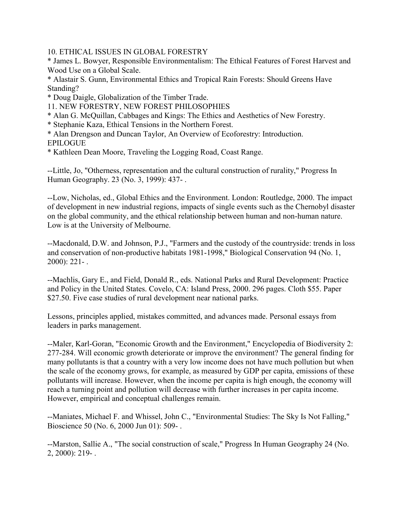10. ETHICAL ISSUES IN GLOBAL FORESTRY

\* James L. Bowyer, Responsible Environmentalism: The Ethical Features of Forest Harvest and Wood Use on a Global Scale.

\* Alastair S. Gunn, Environmental Ethics and Tropical Rain Forests: Should Greens Have Standing?

- \* Doug Daigle, Globalization of the Timber Trade.
- 11. NEW FORESTRY, NEW FOREST PHILOSOPHIES
- \* Alan G. McQuillan, Cabbages and Kings: The Ethics and Aesthetics of New Forestry.
- \* Stephanie Kaza, Ethical Tensions in the Northern Forest.
- \* Alan Drengson and Duncan Taylor, An Overview of Ecoforestry: Introduction. **EPILOGUE**
- \* Kathleen Dean Moore, Traveling the Logging Road, Coast Range.

--Little, Jo, "Otherness, representation and the cultural construction of rurality," Progress In Human Geography. 23 (No. 3, 1999): 437- .

--Low, Nicholas, ed., Global Ethics and the Environment. London: Routledge, 2000. The impact of development in new industrial regions, impacts of single events such as the Chernobyl disaster on the global community, and the ethical relationship between human and non-human nature. Low is at the University of Melbourne.

--Macdonald, D.W. and Johnson, P.J., "Farmers and the custody of the countryside: trends in loss and conservation of non-productive habitats 1981-1998," Biological Conservation 94 (No. 1, 2000): 221- .

--Machlis, Gary E., and Field, Donald R., eds. National Parks and Rural Development: Practice and Policy in the United States. Covelo, CA: Island Press, 2000. 296 pages. Cloth \$55. Paper \$27.50. Five case studies of rural development near national parks.

Lessons, principles applied, mistakes committed, and advances made. Personal essays from leaders in parks management.

--Maler, Karl-Goran, "Economic Growth and the Environment," Encyclopedia of Biodiversity 2: 277-284. Will economic growth deteriorate or improve the environment? The general finding for many pollutants is that a country with a very low income does not have much pollution but when the scale of the economy grows, for example, as measured by GDP per capita, emissions of these pollutants will increase. However, when the income per capita is high enough, the economy will reach a turning point and pollution will decrease with further increases in per capita income. However, empirical and conceptual challenges remain.

--Maniates, Michael F. and Whissel, John C., "Environmental Studies: The Sky Is Not Falling," Bioscience 50 (No. 6, 2000 Jun 01): 509- .

--Marston, Sallie A., "The social construction of scale," Progress In Human Geography 24 (No. 2, 2000): 219- .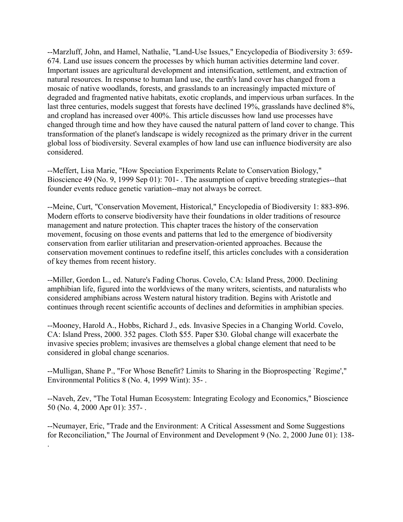--Marzluff, John, and Hamel, Nathalie, "Land-Use Issues," Encyclopedia of Biodiversity 3: 659- 674. Land use issues concern the processes by which human activities determine land cover. Important issues are agricultural development and intensification, settlement, and extraction of natural resources. In response to human land use, the earth's land cover has changed from a mosaic of native woodlands, forests, and grasslands to an increasingly impacted mixture of degraded and fragmented native habitats, exotic croplands, and impervious urban surfaces. In the last three centuries, models suggest that forests have declined 19%, grasslands have declined 8%, and cropland has increased over 400%. This article discusses how land use processes have changed through time and how they have caused the natural pattern of land cover to change. This transformation of the planet's landscape is widely recognized as the primary driver in the current global loss of biodiversity. Several examples of how land use can influence biodiversity are also considered.

--Meffert, Lisa Marie, "How Speciation Experiments Relate to Conservation Biology," Bioscience 49 (No. 9, 1999 Sep 01): 701- . The assumption of captive breeding strategies--that founder events reduce genetic variation--may not always be correct.

--Meine, Curt, "Conservation Movement, Historical," Encyclopedia of Biodiversity 1: 883-896. Modern efforts to conserve biodiversity have their foundations in older traditions of resource management and nature protection. This chapter traces the history of the conservation movement, focusing on those events and patterns that led to the emergence of biodiversity conservation from earlier utilitarian and preservation-oriented approaches. Because the conservation movement continues to redefine itself, this articles concludes with a consideration of key themes from recent history.

--Miller, Gordon L., ed. Nature's Fading Chorus. Covelo, CA: Island Press, 2000. Declining amphibian life, figured into the worldviews of the many writers, scientists, and naturalists who considered amphibians across Western natural history tradition. Begins with Aristotle and continues through recent scientific accounts of declines and deformities in amphibian species.

--Mooney, Harold A., Hobbs, Richard J., eds. Invasive Species in a Changing World. Covelo, CA: Island Press, 2000. 352 pages. Cloth \$55. Paper \$30. Global change will exacerbate the invasive species problem; invasives are themselves a global change element that need to be considered in global change scenarios.

--Mulligan, Shane P., "For Whose Benefit? Limits to Sharing in the Bioprospecting `Regime'," Environmental Politics 8 (No. 4, 1999 Wint): 35- .

--Naveh, Zev, "The Total Human Ecosystem: Integrating Ecology and Economics," Bioscience 50 (No. 4, 2000 Apr 01): 357- .

--Neumayer, Eric, "Trade and the Environment: A Critical Assessment and Some Suggestions for Reconciliation," The Journal of Environment and Development 9 (No. 2, 2000 June 01): 138-

.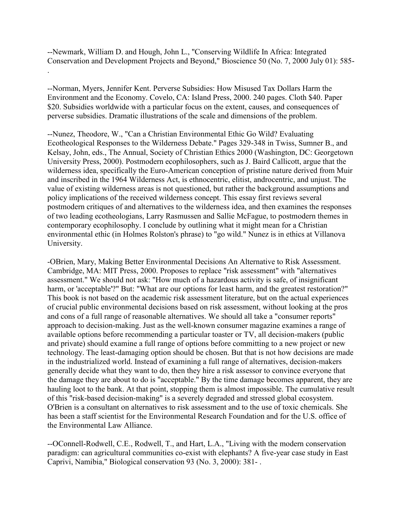--Newmark, William D. and Hough, John L., "Conserving Wildlife In Africa: Integrated Conservation and Development Projects and Beyond," Bioscience 50 (No. 7, 2000 July 01): 585-

--Norman, Myers, Jennifer Kent. Perverse Subsidies: How Misused Tax Dollars Harm the Environment and the Economy. Covelo, CA: Island Press, 2000. 240 pages. Cloth \$40. Paper \$20. Subsidies worldwide with a particular focus on the extent, causes, and consequences of perverse subsidies. Dramatic illustrations of the scale and dimensions of the problem.

.

--Nunez, Theodore, W., "Can a Christian Environmental Ethic Go Wild? Evaluating Ecotheological Responses to the Wilderness Debate." Pages 329-348 in Twiss, Sumner B., and Kelsay, John, eds., The Annual, Society of Christian Ethics 2000 (Washington, DC: Georgetown University Press, 2000). Postmodern ecophilosophers, such as J. Baird Callicott, argue that the wilderness idea, specifically the Euro-American conception of pristine nature derived from Muir and inscribed in the 1964 Wilderness Act, is ethnocentric, elitist, androcentric, and unjust. The value of existing wilderness areas is not questioned, but rather the background assumptions and policy implications of the received wilderness concept. This essay first reviews several postmodern critiques of and alternatives to the wilderness idea, and then examines the responses of two leading ecotheologians, Larry Rasmussen and Sallie McFague, to postmodern themes in contemporary ecophilosophy. I conclude by outlining what it might mean for a Christian environmental ethic (in Holmes Rolston's phrase) to "go wild." Nunez is in ethics at Villanova University.

-OBrien, Mary, Making Better Environmental Decisions An Alternative to Risk Assessment. Cambridge, MA: MIT Press, 2000. Proposes to replace "risk assessment" with "alternatives assessment." We should not ask: "How much of a hazardous activity is safe, of insignificant harm, or 'acceptable'?" But: "What are our options for least harm, and the greatest restoration?" This book is not based on the academic risk assessment literature, but on the actual experiences of crucial public environmental decisions based on risk assessment, without looking at the pros and cons of a full range of reasonable alternatives. We should all take a "consumer reports" approach to decision-making. Just as the well-known consumer magazine examines a range of available options before recommending a particular toaster or TV, all decision-makers (public and private) should examine a full range of options before committing to a new project or new technology. The least-damaging option should be chosen. But that is not how decisions are made in the industrialized world. Instead of examining a full range of alternatives, decision-makers generally decide what they want to do, then they hire a risk assessor to convince everyone that the damage they are about to do is "acceptable." By the time damage becomes apparent, they are hauling loot to the bank. At that point, stopping them is almost impossible. The cumulative result of this "risk-based decision-making" is a severely degraded and stressed global ecosystem. O'Brien is a consultant on alternatives to risk assessment and to the use of toxic chemicals. She has been a staff scientist for the Environmental Research Foundation and for the U.S. office of the Environmental Law Alliance.

--OConnell-Rodwell, C.E., Rodwell, T., and Hart, L.A., "Living with the modern conservation paradigm: can agricultural communities co-exist with elephants? A five-year case study in East Caprivi, Namibia," Biological conservation 93 (No. 3, 2000): 381- .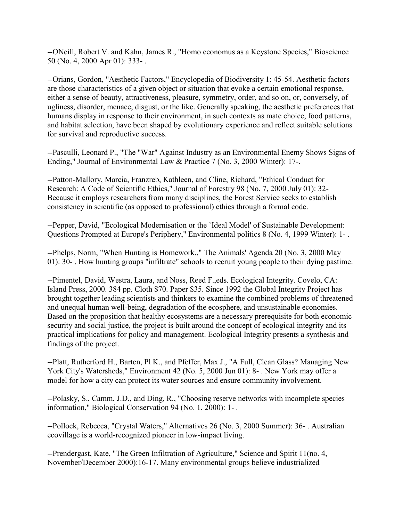--ONeill, Robert V. and Kahn, James R., "Homo economus as a Keystone Species," Bioscience 50 (No. 4, 2000 Apr 01): 333- .

--Orians, Gordon, "Aesthetic Factors," Encyclopedia of Biodiversity 1: 45-54. Aesthetic factors are those characteristics of a given object or situation that evoke a certain emotional response, either a sense of beauty, attractiveness, pleasure, symmetry, order, and so on, or, conversely, of ugliness, disorder, menace, disgust, or the like. Generally speaking, the aesthetic preferences that humans display in response to their environment, in such contexts as mate choice, food patterns, and habitat selection, have been shaped by evolutionary experience and reflect suitable solutions for survival and reproductive success.

--Pasculli, Leonard P., "The "War" Against Industry as an Environmental Enemy Shows Signs of Ending," Journal of Environmental Law & Practice 7 (No. 3, 2000 Winter): 17-.

--Patton-Mallory, Marcia, Franzreb, Kathleen, and Cline, Richard, "Ethical Conduct for Research: A Code of Scientific Ethics," Journal of Forestry 98 (No. 7, 2000 July 01): 32- Because it employs researchers from many disciplines, the Forest Service seeks to establish consistency in scientific (as opposed to professional) ethics through a formal code.

--Pepper, David, "Ecological Modernisation or the `Ideal Model' of Sustainable Development: Questions Prompted at Europe's Periphery," Environmental politics 8 (No. 4, 1999 Winter): 1- .

--Phelps, Norm, "When Hunting is Homework.," The Animals' Agenda 20 (No. 3, 2000 May 01): 30- . How hunting groups "infiltrate" schools to recruit young people to their dying pastime.

--Pimentel, David, Westra, Laura, and Noss, Reed F.,eds. Ecological Integrity. Covelo, CA: Island Press, 2000. 384 pp. Cloth \$70. Paper \$35. Since 1992 the Global Integrity Project has brought together leading scientists and thinkers to examine the combined problems of threatened and unequal human well-being, degradation of the ecosphere, and unsustainable economies. Based on the proposition that healthy ecosystems are a necessary prerequisite for both economic security and social justice, the project is built around the concept of ecological integrity and its practical implications for policy and management. Ecological Integrity presents a synthesis and findings of the project.

--Platt, Rutherford H., Barten, Pl K., and Pfeffer, Max J., "A Full, Clean Glass? Managing New York City's Watersheds," Environment 42 (No. 5, 2000 Jun 01): 8- . New York may offer a model for how a city can protect its water sources and ensure community involvement.

--Polasky, S., Camm, J.D., and Ding, R., "Choosing reserve networks with incomplete species information," Biological Conservation 94 (No. 1, 2000): 1- .

--Pollock, Rebecca, "Crystal Waters," Alternatives 26 (No. 3, 2000 Summer): 36- . Australian ecovillage is a world-recognized pioneer in low-impact living.

--Prendergast, Kate, "The Green Infiltration of Agriculture," Science and Spirit 11(no. 4, November/December 2000):16-17. Many environmental groups believe industrialized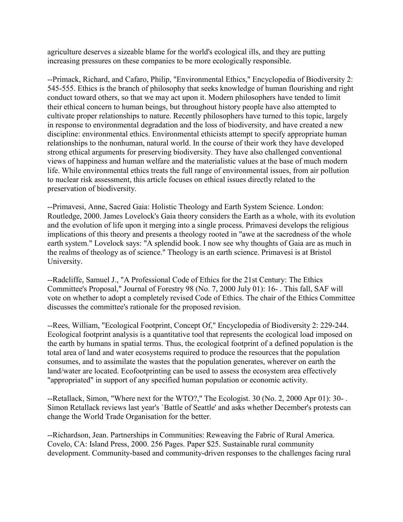agriculture deserves a sizeable blame for the world's ecological ills, and they are putting increasing pressures on these companies to be more ecologically responsible.

--Primack, Richard, and Cafaro, Philip, "Environmental Ethics," Encyclopedia of Biodiversity 2: 545-555. Ethics is the branch of philosophy that seeks knowledge of human flourishing and right conduct toward others, so that we may act upon it. Modern philosophers have tended to limit their ethical concern to human beings, but throughout history people have also attempted to cultivate proper relationships to nature. Recently philosophers have turned to this topic, largely in response to environmental degradation and the loss of biodiversity, and have created a new discipline: environmental ethics. Environmental ethicists attempt to specify appropriate human relationships to the nonhuman, natural world. In the course of their work they have developed strong ethical arguments for preserving biodiversity. They have also challenged conventional views of happiness and human welfare and the materialistic values at the base of much modern life. While environmental ethics treats the full range of environmental issues, from air pollution to nuclear risk assessment, this article focuses on ethical issues directly related to the preservation of biodiversity.

--Primavesi, Anne, Sacred Gaia: Holistic Theology and Earth System Science. London: Routledge, 2000. James Lovelock's Gaia theory considers the Earth as a whole, with its evolution and the evolution of life upon it merging into a single process. Primavesi develops the religious implications of this theory and presents a theology rooted in "awe at the sacredness of the whole earth system." Lovelock says: "A splendid book. I now see why thoughts of Gaia are as much in the realms of theology as of science." Theology is an earth science. Primavesi is at Bristol University.

--Radcliffe, Samuel J., "A Professional Code of Ethics for the 21st Century: The Ethics Committee's Proposal," Journal of Forestry 98 (No. 7, 2000 July 01): 16- . This fall, SAF will vote on whether to adopt a completely revised Code of Ethics. The chair of the Ethics Committee discusses the committee's rationale for the proposed revision.

--Rees, William, "Ecological Footprint, Concept Of," Encyclopedia of Biodiversity 2: 229-244. Ecological footprint analysis is a quantitative tool that represents the ecological load imposed on the earth by humans in spatial terms. Thus, the ecological footprint of a defined population is the total area of land and water ecosystems required to produce the resources that the population consumes, and to assimilate the wastes that the population generates, wherever on earth the land/water are located. Ecofootprinting can be used to assess the ecosystem area effectively "appropriated" in support of any specified human population or economic activity.

--Retallack, Simon, "Where next for the WTO?," The Ecologist. 30 (No. 2, 2000 Apr 01): 30- . Simon Retallack reviews last year's `Battle of Seattle' and asks whether December's protests can change the World Trade Organisation for the better.

--Richardson, Jean. Partnerships in Communities: Reweaving the Fabric of Rural America. Covelo, CA: Island Press, 2000. 256 Pages. Paper \$25. Sustainable rural community development. Community-based and community-driven responses to the challenges facing rural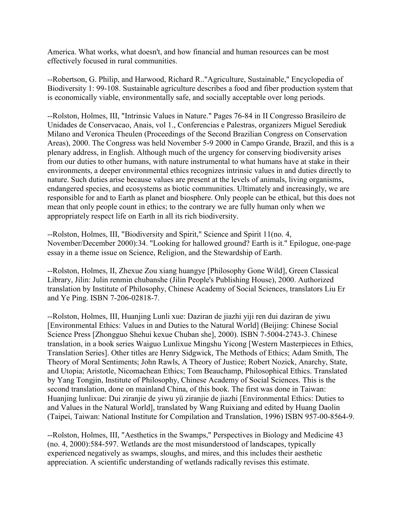America. What works, what doesn't, and how financial and human resources can be most effectively focused in rural communities.

--Robertson, G. Philip, and Harwood, Richard R.."Agriculture, Sustainable," Encyclopedia of Biodiversity 1: 99-108. Sustainable agriculture describes a food and fiber production system that is economically viable, environmentally safe, and socially acceptable over long periods.

--Rolston, Holmes, III, "Intrinsic Values in Nature." Pages 76-84 in II Congresso Brasileiro de Unidades de Conservacao, Anais, vol 1., Conferencias e Palestras, organizers Miguel Serediuk Milano and Veronica Theulen (Proceedings of the Second Brazilian Congress on Conservation Areas), 2000. The Congress was held November 5-9 2000 in Campo Grande, Brazil, and this is a plenary address, in English. Although much of the urgency for conserving biodiversity arises from our duties to other humans, with nature instrumental to what humans have at stake in their environments, a deeper environmental ethics recognizes intrinsic values in and duties directly to nature. Such duties arise because values are present at the levels of animals, living organisms, endangered species, and ecosystems as biotic communities. Ultimately and increasingly, we are responsible for and to Earth as planet and biosphere. Only people can be ethical, but this does not mean that only people count in ethics; to the contrary we are fully human only when we appropriately respect life on Earth in all its rich biodiversity.

--Rolston, Holmes, III, "Biodiversity and Spirit," Science and Spirit 11(no. 4, November/December 2000):34. "Looking for hallowed ground? Earth is it." Epilogue, one-page essay in a theme issue on Science, Religion, and the Stewardship of Earth.

--Rolston, Holmes, II, Zhexue Zou xiang huangye [Philosophy Gone Wild], Green Classical Library, Jilin: Julin renmin chubanshe (Jilin People's Publishing House), 2000. Authorized translation by Institute of Philosophy, Chinese Academy of Social Sciences, translators Liu Er and Ye Ping. ISBN 7-206-02818-7.

--Rolston, Holmes, III, Huanjing Lunli xue: Daziran de jiazhi yiji ren dui daziran de yiwu [Environmental Ethics: Values in and Duties to the Natural World] (Beijing: Chinese Social Science Press [Zhongguo Shehui kexue Chuban she], 2000). ISBN 7-5004-2743-3. Chinese translation, in a book series Waiguo Lunlixue Mingshu Yicong [Western Masterpieces in Ethics, Translation Series]. Other titles are Henry Sidgwick, The Methods of Ethics; Adam Smith, The Theory of Moral Sentiments; John Rawls, A Theory of Justice; Robert Nozick, Anarchy, State, and Utopia; Aristotle, Nicomachean Ethics; Tom Beauchamp, Philosophical Ethics. Translated by Yang Tongjin, Institute of Philosophy, Chinese Academy of Social Sciences. This is the second translation, done on mainland China, of this book. The first was done in Taiwan: Huanjing lunlixue: Dui ziranjie de yiwu yü ziranjie de jiazhi [Environmental Ethics: Duties to and Values in the Natural World], translated by Wang Ruixiang and edited by Huang Daolin (Taipei, Taiwan: National Institute for Compilation and Translation, 1996) ISBN 957-00-8564-9.

--Rolston, Holmes, III, "Aesthetics in the Swamps," Perspectives in Biology and Medicine 43 (no. 4, 2000):584-597. Wetlands are the most misunderstood of landscapes, typically experienced negatively as swamps, sloughs, and mires, and this includes their aesthetic appreciation. A scientific understanding of wetlands radically revises this estimate.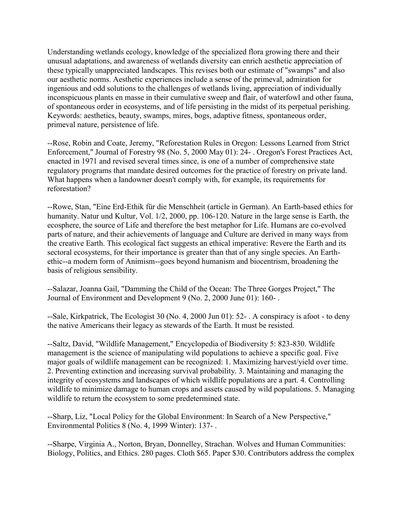Understanding wetlands ecology, knowledge of the specialized flora growing there and their unusual adaptations, and awareness of wetlands diversity can enrich aesthetic appreciation of these typically unappreciated landscapes. This revises both our estimate of "swamps" and also our aesthetic norms. Aesthetic experiences include a sense of the primeval, admiration for ingenious and odd solutions to the challenges of wetlands living, appreciation of individually inconspicuous plants en masse in their cumulative sweep and flair, of waterfowl and other fauna, of spontaneous order in ecosystems, and of life persisting in the midst of its perpetual perishing. Keywords: aesthetics, beauty, swamps, mires, bogs, adaptive fitness, spontaneous order, primeval nature, persistence of life.

--Rose, Robin and Coate, Jeremy, "Reforestation Rules in Oregon: Lessons Learned from Strict Enforcement," Journal of Forestry 98 (No. 5, 2000 May 01): 24- . Oregon's Forest Practices Act, enacted in 1971 and revised several times since, is one of a number of comprehensive state regulatory programs that mandate desired outcomes for the practice of forestry on private land. What happens when a landowner doesn't comply with, for example, its requirements for reforestation?

--Rowe, Stan, "Eine Erd-Ethik für die Menschheit (article in German). An Earth-based ethics for humanity. Natur und Kultur, Vol. 1/2, 2000, pp. 106-120. Nature in the large sense is Earth, the ecosphere, the source of Life and therefore the best metaphor for Life. Humans are co-evolved parts of nature, and their achievements of language and Culture are derived in many ways from the creative Earth. This ecological fact suggests an ethical imperative: Revere the Earth and its sectoral ecosystems, for their importance is greater than that of any single species. An Earthethic--a modern form of Animism--goes beyond humanism and biocentrism, broadening the basis of religious sensibility.

--Salazar, Joanna Gail, "Damming the Child of the Ocean: The Three Gorges Project," The Journal of Environment and Development 9 (No. 2, 2000 June 01): 160- .

--Sale, Kirkpatrick, The Ecologist 30 (No. 4, 2000 Jun 01): 52- . A conspiracy is afoot - to deny the native Americans their legacy as stewards of the Earth. It must be resisted.

--Saltz, David, "Wildlife Management," Encyclopedia of Biodiversity 5: 823-830. Wildlife management is the science of manipulating wild populations to achieve a specific goal. Five major goals of wildlife management can be recognized: 1. Maximizing harvest/yield over time. 2. Preventing extinction and increasing survival probability. 3. Maintaining and managing the integrity of ecosystems and landscapes of which wildlife populations are a part. 4. Controlling wildlife to minimize damage to human crops and assets caused by wild populations. 5. Managing wildlife to return the ecosystem to some predetermined state.

--Sharp, Liz, "Local Policy for the Global Environment: In Search of a New Perspective," Environmental Politics 8 (No. 4, 1999 Winter): 137- .

--Sharpe, Virginia A., Norton, Bryan, Donnelley, Strachan. Wolves and Human Communities: Biology, Politics, and Ethics. 280 pages. Cloth \$65. Paper \$30. Contributors address the complex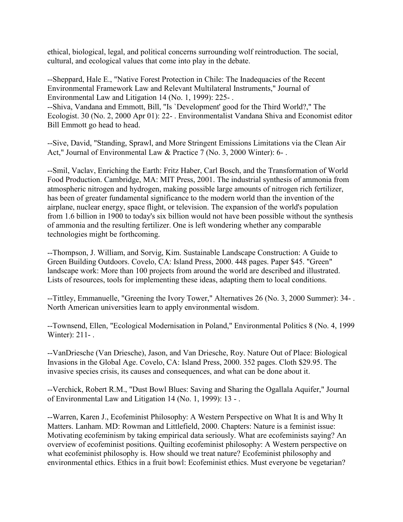ethical, biological, legal, and political concerns surrounding wolf reintroduction. The social, cultural, and ecological values that come into play in the debate.

--Sheppard, Hale E., "Native Forest Protection in Chile: The Inadequacies of the Recent Environmental Framework Law and Relevant Multilateral Instruments," Journal of Environmental Law and Litigation 14 (No. 1, 1999): 225- .

--Shiva, Vandana and Emmott, Bill, "Is `Development' good for the Third World?," The Ecologist. 30 (No. 2, 2000 Apr 01): 22- . Environmentalist Vandana Shiva and Economist editor Bill Emmott go head to head.

--Sive, David, "Standing, Sprawl, and More Stringent Emissions Limitations via the Clean Air Act," Journal of Environmental Law & Practice 7 (No. 3, 2000 Winter): 6- .

--Smil, Vaclav, Enriching the Earth: Fritz Haber, Carl Bosch, and the Transformation of World Food Production. Cambridge, MA: MIT Press, 2001. The industrial synthesis of ammonia from atmospheric nitrogen and hydrogen, making possible large amounts of nitrogen rich fertilizer, has been of greater fundamental significance to the modern world than the invention of the airplane, nuclear energy, space flight, or television. The expansion of the world's population from 1.6 billion in 1900 to today's six billion would not have been possible without the synthesis of ammonia and the resulting fertilizer. One is left wondering whether any comparable technologies might be forthcoming.

--Thompson, J. William, and Sorvig, Kim. Sustainable Landscape Construction: A Guide to Green Building Outdoors. Covelo, CA: Island Press, 2000. 448 pages. Paper \$45. "Green" landscape work: More than 100 projects from around the world are described and illustrated. Lists of resources, tools for implementing these ideas, adapting them to local conditions.

--Tittley, Emmanuelle, "Greening the Ivory Tower," Alternatives 26 (No. 3, 2000 Summer): 34- . North American universities learn to apply environmental wisdom.

--Townsend, Ellen, "Ecological Modernisation in Poland," Environmental Politics 8 (No. 4, 1999 Winter): 211-.

--VanDriesche (Van Driesche), Jason, and Van Driesche, Roy. Nature Out of Place: Biological Invasions in the Global Age. Covelo, CA: Island Press, 2000. 352 pages. Cloth \$29.95. The invasive species crisis, its causes and consequences, and what can be done about it.

--Verchick, Robert R.M., "Dust Bowl Blues: Saving and Sharing the Ogallala Aquifer," Journal of Environmental Law and Litigation 14 (No. 1, 1999): 13 - .

--Warren, Karen J., Ecofeminist Philosophy: A Western Perspective on What It is and Why It Matters. Lanham. MD: Rowman and Littlefield, 2000. Chapters: Nature is a feminist issue: Motivating ecofeminism by taking empirical data seriously. What are ecofeminists saying? An overview of ecofeminist positions. Quilting ecofeminist philosophy: A Western perspective on what ecofeminist philosophy is. How should we treat nature? Ecofeminist philosophy and environmental ethics. Ethics in a fruit bowl: Ecofeminist ethics. Must everyone be vegetarian?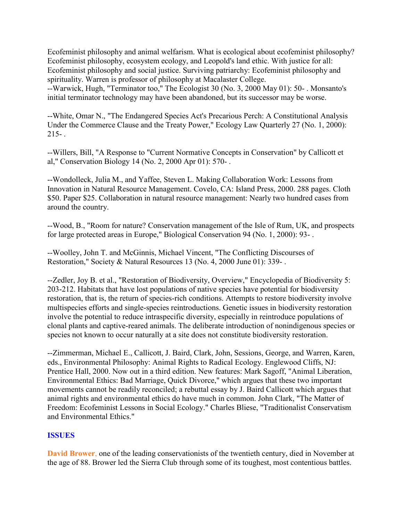Ecofeminist philosophy and animal welfarism. What is ecological about ecofeminist philosophy? Ecofeminist philosophy, ecosystem ecology, and Leopold's land ethic. With justice for all: Ecofeminist philosophy and social justice. Surviving patriarchy: Ecofeminist philosophy and spirituality. Warren is professor of philosophy at Macalaster College. --Warwick, Hugh, "Terminator too," The Ecologist 30 (No. 3, 2000 May 01): 50- . Monsanto's initial terminator technology may have been abandoned, but its successor may be worse.

--White, Omar N., "The Endangered Species Act's Precarious Perch: A Constitutional Analysis Under the Commerce Clause and the Treaty Power," Ecology Law Quarterly 27 (No. 1, 2000):  $215 - 1$ 

--Willers, Bill, "A Response to "Current Normative Concepts in Conservation" by Callicott et al," Conservation Biology 14 (No. 2, 2000 Apr 01): 570- .

--Wondolleck, Julia M., and Yaffee, Steven L. Making Collaboration Work: Lessons from Innovation in Natural Resource Management. Covelo, CA: Island Press, 2000. 288 pages. Cloth \$50. Paper \$25. Collaboration in natural resource management: Nearly two hundred cases from around the country.

--Wood, B., "Room for nature? Conservation management of the Isle of Rum, UK, and prospects for large protected areas in Europe," Biological Conservation 94 (No. 1, 2000): 93- .

--Woolley, John T. and McGinnis, Michael Vincent, "The Conflicting Discourses of Restoration," Society & Natural Resources 13 (No. 4, 2000 June 01): 339- .

--Zedler, Joy B. et al., "Restoration of Biodiversity, Overview," Encyclopedia of Biodiversity 5: 203-212. Habitats that have lost populations of native species have potential for biodiversity restoration, that is, the return of species-rich conditions. Attempts to restore biodiversity involve multispecies efforts and single-species reintroductions. Genetic issues in biodiversity restoration involve the potential to reduce intraspecific diversity, especially in reintroduce populations of clonal plants and captive-reared animals. The deliberate introduction of nonindigenous species or species not known to occur naturally at a site does not constitute biodiversity restoration.

--Zimmerman, Michael E., Callicott, J. Baird, Clark, John, Sessions, George, and Warren, Karen, eds., Environmental Philosophy: Animal Rights to Radical Ecology. Englewood Cliffs, NJ: Prentice Hall, 2000. Now out in a third edition. New features: Mark Sagoff, "Animal Liberation, Environmental Ethics: Bad Marriage, Quick Divorce," which argues that these two important movements cannot be readily reconciled; a rebuttal essay by J. Baird Callicott which argues that animal rights and environmental ethics do have much in common. John Clark, "The Matter of Freedom: Ecofeminist Lessons in Social Ecology." Charles Bliese, "Traditionalist Conservatism and Environmental Ethics."

# **ISSUES**

**David Brower**, one of the leading conservationists of the twentieth century, died in November at the age of 88. Brower led the Sierra Club through some of its toughest, most contentious battles.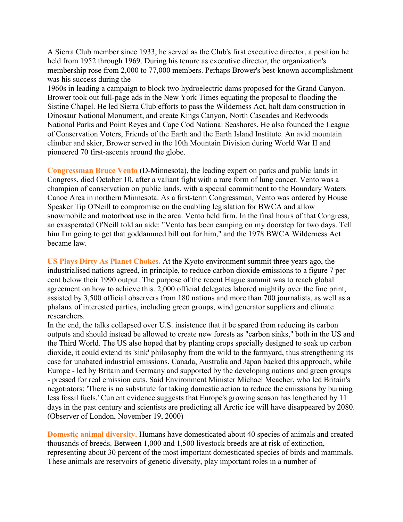A Sierra Club member since 1933, he served as the Club's first executive director, a position he held from 1952 through 1969. During his tenure as executive director, the organization's membership rose from 2,000 to 77,000 members. Perhaps Brower's best-known accomplishment was his success during the

1960s in leading a campaign to block two hydroelectric dams proposed for the Grand Canyon. Brower took out full-page ads in the New York Times equating the proposal to flooding the Sistine Chapel. He led Sierra Club efforts to pass the Wilderness Act, halt dam construction in Dinosaur National Monument, and create Kings Canyon, North Cascades and Redwoods National Parks and Point Reyes and Cape Cod National Seashores. He also founded the League of Conservation Voters, Friends of the Earth and the Earth Island Institute. An avid mountain climber and skier, Brower served in the 10th Mountain Division during World War II and pioneered 70 first-ascents around the globe.

**Congressman Bruce Vento** (D-Minnesota), the leading expert on parks and public lands in Congress, died October 10, after a valiant fight with a rare form of lung cancer. Vento was a champion of conservation on public lands, with a special commitment to the Boundary Waters Canoe Area in northern Minnesota. As a first-term Congressman, Vento was ordered by House Speaker Tip O'Neill to compromise on the enabling legislation for BWCA and allow snowmobile and motorboat use in the area. Vento held firm. In the final hours of that Congress, an exasperated O'Neill told an aide: "Vento has been camping on my doorstep for two days. Tell him I'm going to get that goddammed bill out for him," and the 1978 BWCA Wilderness Act became law.

**US Plays Dirty As Planet Chokes.** At the Kyoto environment summit three years ago, the industrialised nations agreed, in principle, to reduce carbon dioxide emissions to a figure 7 per cent below their 1990 output. The purpose of the recent Hague summit was to reach global agreement on how to achieve this. 2,000 official delegates labored mightily over the fine print, assisted by 3,500 official observers from 180 nations and more than 700 journalists, as well as a phalanx of interested parties, including green groups, wind generator suppliers and climate researchers.

In the end, the talks collapsed over U.S. insistence that it be spared from reducing its carbon outputs and should instead be allowed to create new forests as "carbon sinks," both in the US and the Third World. The US also hoped that by planting crops specially designed to soak up carbon dioxide, it could extend its 'sink' philosophy from the wild to the farmyard, thus strengthening its case for unabated industrial emissions. Canada, Australia and Japan backed this approach, while Europe - led by Britain and Germany and supported by the developing nations and green groups - pressed for real emission cuts. Said Environment Minister Michael Meacher, who led Britain's negotiators: 'There is no substitute for taking domestic action to reduce the emissions by burning less fossil fuels.' Current evidence suggests that Europe's growing season has lengthened by 11 days in the past century and scientists are predicting all Arctic ice will have disappeared by 2080. (Observer of London, November 19, 2000)

**Domestic animal diversity.** Humans have domesticated about 40 species of animals and created thousands of breeds. Between 1,000 and 1,500 livestock breeds are at risk of extinction, representing about 30 percent of the most important domesticated species of birds and mammals. These animals are reservoirs of genetic diversity, play important roles in a number of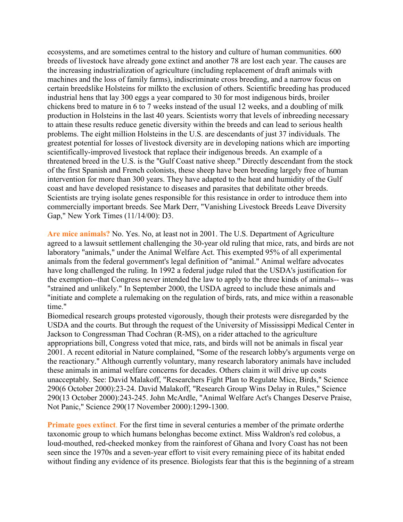ecosystems, and are sometimes central to the history and culture of human communities. 600 breeds of livestock have already gone extinct and another 78 are lost each year. The causes are the increasing industrialization of agriculture (including replacement of draft animals with machines and the loss of family farms), indiscriminate cross breeding, and a narrow focus on certain breedslike Holsteins for milkto the exclusion of others. Scientific breeding has produced industrial hens that lay 300 eggs a year compared to 30 for most indigenous birds, broiler chickens bred to mature in 6 to 7 weeks instead of the usual 12 weeks, and a doubling of milk production in Holsteins in the last 40 years. Scientists worry that levels of inbreeding necessary to attain these results reduce genetic diversity within the breeds and can lead to serious health problems. The eight million Holsteins in the U.S. are descendants of just 37 individuals. The greatest potential for losses of livestock diversity are in developing nations which are importing scientifically-improved livestock that replace their indigenous breeds. An example of a threatened breed in the U.S. is the "Gulf Coast native sheep." Directly descendant from the stock of the first Spanish and French colonists, these sheep have been breeding largely free of human intervention for more than 300 years. They have adapted to the heat and humidity of the Gulf coast and have developed resistance to diseases and parasites that debilitate other breeds. Scientists are trying isolate genes responsible for this resistance in order to introduce them into commercially important breeds. See Mark Derr, "Vanishing Livestock Breeds Leave Diversity Gap," New York Times (11/14/00): D3.

**Are mice animals?** No. Yes. No, at least not in 2001. The U.S. Department of Agriculture agreed to a lawsuit settlement challenging the 30-year old ruling that mice, rats, and birds are not laboratory "animals," under the Animal Welfare Act. This exempted 95% of all experimental animals from the federal government's legal definition of "animal." Animal welfare advocates have long challenged the ruling. In 1992 a federal judge ruled that the USDA's justification for the exemption--that Congress never intended the law to apply to the three kinds of animals-- was "strained and unlikely." In September 2000, the USDA agreed to include these animals and "initiate and complete a rulemaking on the regulation of birds, rats, and mice within a reasonable time."

Biomedical research groups protested vigorously, though their protests were disregarded by the USDA and the courts. But through the request of the University of Mississippi Medical Center in Jackson to Congressman Thad Cochran (R-MS), on a rider attached to the agriculture appropriations bill, Congress voted that mice, rats, and birds will not be animals in fiscal year 2001. A recent editorial in Nature complained, "Some of the research lobby's arguments verge on the reactionary." Although currently voluntary, many research laboratory animals have included these animals in animal welfare concerns for decades. Others claim it will drive up costs unacceptably. See: David Malakoff, "Researchers Fight Plan to Regulate Mice, Birds," Science 290(6 October 2000):23-24. David Malakoff, "Research Group Wins Delay in Rules," Science 290(13 October 2000):243-245. John McArdle, "Animal Welfare Act's Changes Deserve Praise, Not Panic," Science 290(17 November 2000):1299-1300.

**Primate goes extinct**. For the first time in several centuries a member of the primate orderthe taxonomic group to which humans belonghas become extinct. Miss Waldron's red colobus, a loud-mouthed, red-cheeked monkey from the rainforest of Ghana and Ivory Coast has not been seen since the 1970s and a seven-year effort to visit every remaining piece of its habitat ended without finding any evidence of its presence. Biologists fear that this is the beginning of a stream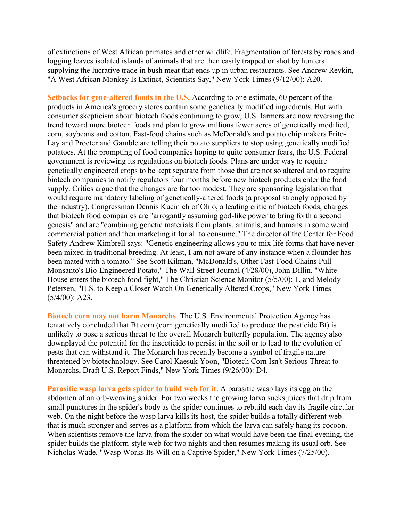of extinctions of West African primates and other wildlife. Fragmentation of forests by roads and logging leaves isolated islands of animals that are then easily trapped or shot by hunters supplying the lucrative trade in bush meat that ends up in urban restaurants. See Andrew Revkin, "A West African Monkey Is Extinct, Scientists Say," New York Times (9/12/00): A20.

**Setbacks for gene-altered foods in the U.S.** According to one estimate, 60 percent of the products in America's grocery stores contain some genetically modified ingredients. But with consumer skepticism about biotech foods continuing to grow, U.S. farmers are now reversing the trend toward more biotech foods and plan to grow millions fewer acres of genetically modified, corn, soybeans and cotton. Fast-food chains such as McDonald's and potato chip makers Frito-Lay and Procter and Gamble are telling their potato suppliers to stop using genetically modified potatoes. At the prompting of food companies hoping to quite consumer fears, the U.S. Federal government is reviewing its regulations on biotech foods. Plans are under way to require genetically engineered crops to be kept separate from those that are not so altered and to require biotech companies to notify regulators four months before new biotech products enter the food supply. Critics argue that the changes are far too modest. They are sponsoring legislation that would require mandatory labeling of genetically-altered foods (a proposal strongly opposed by the industry). Congressman Dennis Kucinich of Ohio, a leading critic of biotech foods, charges that biotech food companies are "arrogantly assuming god-like power to bring forth a second genesis" and are "combining genetic materials from plants, animals, and humans in some weird commercial potion and then marketing it for all to consume." The director of the Center for Food Safety Andrew Kimbrell says: "Genetic engineering allows you to mix life forms that have never been mixed in traditional breeding. At least, I am not aware of any instance when a flounder has been mated with a tomato." See Scott Kilman, "McDonald's, Other Fast-Food Chains Pull Monsanto's Bio-Engineered Potato," The Wall Street Journal (4/28/00), John Dillin, "White House enters the biotech food fight," The Christian Science Monitor (5/5/00): 1, and Melody Petersen, "U.S. to Keep a Closer Watch On Genetically Altered Crops," New York Times (5/4/00): A23.

**Biotech corn may not harm Monarchs**. The U.S. Environmental Protection Agency has tentatively concluded that Bt corn (corn genetically modified to produce the pesticide Bt) is unlikely to pose a serious threat to the overall Monarch butterfly population. The agency also downplayed the potential for the insecticide to persist in the soil or to lead to the evolution of pests that can withstand it. The Monarch has recently become a symbol of fragile nature threatened by biotechnology. See Carol Kaesuk Yoon, "Biotech Corn Isn't Serious Threat to Monarchs, Draft U.S. Report Finds," New York Times (9/26/00): D4.

**Parasitic wasp larva gets spider to build web for it**. A parasitic wasp lays its egg on the abdomen of an orb-weaving spider. For two weeks the growing larva sucks juices that drip from small punctures in the spider's body as the spider continues to rebuild each day its fragile circular web. On the night before the wasp larva kills its host, the spider builds a totally different web that is much stronger and serves as a platform from which the larva can safely hang its cocoon. When scientists remove the larva from the spider on what would have been the final evening, the spider builds the platform-style web for two nights and then resumes making its usual orb. See Nicholas Wade, "Wasp Works Its Will on a Captive Spider," New York Times (7/25/00).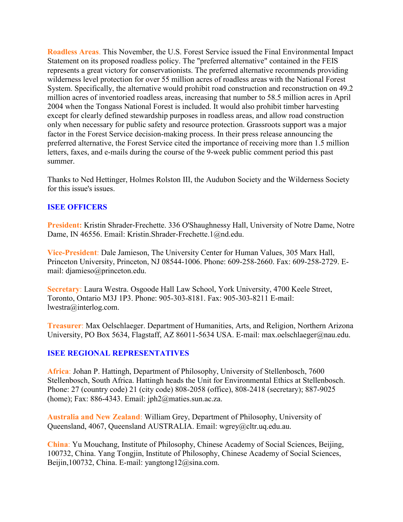**Roadless Areas**. This November, the U.S. Forest Service issued the Final Environmental Impact Statement on its proposed roadless policy. The "preferred alternative" contained in the FEIS represents a great victory for conservationists. The preferred alternative recommends providing wilderness level protection for over 55 million acres of roadless areas with the National Forest System. Specifically, the alternative would prohibit road construction and reconstruction on 49.2 million acres of inventoried roadless areas, increasing that number to 58.5 million acres in April 2004 when the Tongass National Forest is included. It would also prohibit timber harvesting except for clearly defined stewardship purposes in roadless areas, and allow road construction only when necessary for public safety and resource protection. Grassroots support was a major factor in the Forest Service decision-making process. In their press release announcing the preferred alternative, the Forest Service cited the importance of receiving more than 1.5 million letters, faxes, and e-mails during the course of the 9-week public comment period this past summer.

Thanks to Ned Hettinger, Holmes Rolston III, the Audubon Society and the Wilderness Society for this issue's issues.

## **ISEE OFFICERS**

**President:** Kristin Shrader-Frechette. 336 O'Shaughnessy Hall, University of Notre Dame, Notre Dame, IN 46556. Email: Kristin.Shrader-Frechette.1@nd.edu.

**Vice-President**: Dale Jamieson, The University Center for Human Values, 305 Marx Hall, Princeton University, Princeton, NJ 08544-1006. Phone: 609-258-2660. Fax: 609-258-2729. Email: djamieso@princeton.edu.

**Secretary**: Laura Westra. Osgoode Hall Law School, York University, 4700 Keele Street, Toronto, Ontario M3J 1P3. Phone: 905-303-8181. Fax: 905-303-8211 E-mail: lwestra@interlog.com.

**Treasurer**: Max Oelschlaeger. Department of Humanities, Arts, and Religion, Northern Arizona University, PO Box 5634, Flagstaff, AZ 86011-5634 USA. E-mail: max.oelschlaeger@nau.edu.

# **ISEE REGIONAL REPRESENTATIVES**

**Africa**: Johan P. Hattingh, Department of Philosophy, University of Stellenbosch, 7600 Stellenbosch, South Africa. Hattingh heads the Unit for Environmental Ethics at Stellenbosch. Phone: 27 (country code) 21 (city code) 808-2058 (office), 808-2418 (secretary); 887-9025 (home); Fax: 886-4343. Email: jph2@maties.sun.ac.za.

**Australia and New Zealand**: William Grey, Department of Philosophy, University of Queensland, 4067, Queensland AUSTRALIA. Email: wgrey@cltr.uq.edu.au.

**China**: Yu Mouchang, Institute of Philosophy, Chinese Academy of Social Sciences, Beijing, 100732, China. Yang Tongjin, Institute of Philosophy, Chinese Academy of Social Sciences, Beijin,100732, China. E-mail: yangtong12@sina.com.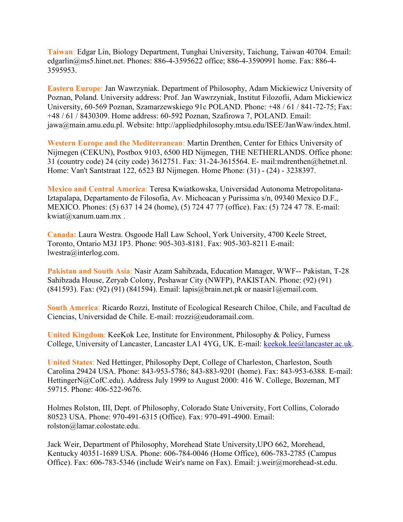**Taiwan**: Edgar Lin, Biology Department, Tunghai University, Taichung, Taiwan 40704. Email: edgarlin@ms5.hinet.net. Phones: 886-4-3595622 office; 886-4-3590991 home. Fax: 886-4- 3595953.

**Eastern Europe**: Jan Wawrzyniak. Department of Philosophy, Adam Mickiewicz University of Poznan, Poland. University address: Prof. Jan Wawrzyniak, Institut Filozofii, Adam Mickiewicz University, 60-569 Poznan, Szamarzewskiego 91c POLAND. Phone: +48 / 61 / 841-72-75; Fax: +48 / 61 / 8430309. Home address: 60-592 Poznan, Szafirowa 7, POLAND. Email: jawa@main.amu.edu.pl. Website: http://appliedphilosophy.mtsu.edu/ISEE/JanWaw/index.html.

**Western Europe and the Mediterranean**: Martin Drenthen, Center for Ethics University of Nijmegen (CEKUN), Postbox 9103, 6500 HD Nijmegen, THE NETHERLANDS. Office phone: 31 (country code) 24 (city code) 3612751. Fax: 31-24-3615564. E- mail:mdrenthen@hetnet.nl. Home: Van't Santstraat 122, 6523 BJ Nijmegen. Home Phone: (31) - (24) - 3238397.

**Mexico and Central America**: Teresa Kwiatkowska, Universidad Autonoma Metropolitana-Iztapalapa, Departamento de Filosofia, Av. Michoacan y Purissima s/n, 09340 Mexico D.F., MEXICO. Phones: (5) 637 14 24 (home), (5) 724 47 77 (office). Fax: (5) 724 47 78. E-mail: kwiat@xanum.uam.mx .

**Canada:** Laura Westra. Osgoode Hall Law School, York University, 4700 Keele Street, Toronto, Ontario M3J 1P3. Phone: 905-303-8181. Fax: 905-303-8211 E-mail: lwestra@interlog.com.

**Pakistan and South Asia**: Nasir Azam Sahibzada, Education Manager, WWF-- Pakistan, T-28 Sahibzada House, Zeryab Colony, Peshawar City (NWFP), PAKISTAN. Phone: (92) (91) (841593). Fax: (92) (91) (841594). Email: lapis@brain.net.pk or naasir1@email.com.

**South America**: Ricardo Rozzi, Institute of Ecological Research Chiloe, Chile, and Facultad de Ciencias, Universidad de Chile. E-mail: rrozzi@eudoramail.com.

**United Kingdom**: KeeKok Lee, Institute for Environment, Philosophy & Policy, Furness College, University of Lancaster, Lancaster LA1 4YG, UK. E-mail: [keekok.lee@lancaster.ac.uk.](mailto:keekok.lee@lancaster.ac.uk)

**United States**: Ned Hettinger, Philosophy Dept, College of Charleston, Charleston, South Carolina 29424 USA. Phone: 843-953-5786; 843-883-9201 (home). Fax: 843-953-6388. E-mail: HettingerN@CofC.edu). Address July 1999 to August 2000: 416 W. College, Bozeman, MT 59715. Phone: 406-522-9676.

Holmes Rolston, III, Dept. of Philosophy, Colorado State University, Fort Collins, Colorado 80523 USA. Phone: 970-491-6315 (Office). Fax: 970-491-4900. Email: rolston@lamar.colostate.edu.

Jack Weir, Department of Philosophy, Morehead State University,UPO 662, Morehead, Kentucky 40351-1689 USA. Phone: 606-784-0046 (Home Office), 606-783-2785 (Campus Office). Fax: 606-783-5346 (include Weir's name on Fax). Email: j.weir@morehead-st.edu.